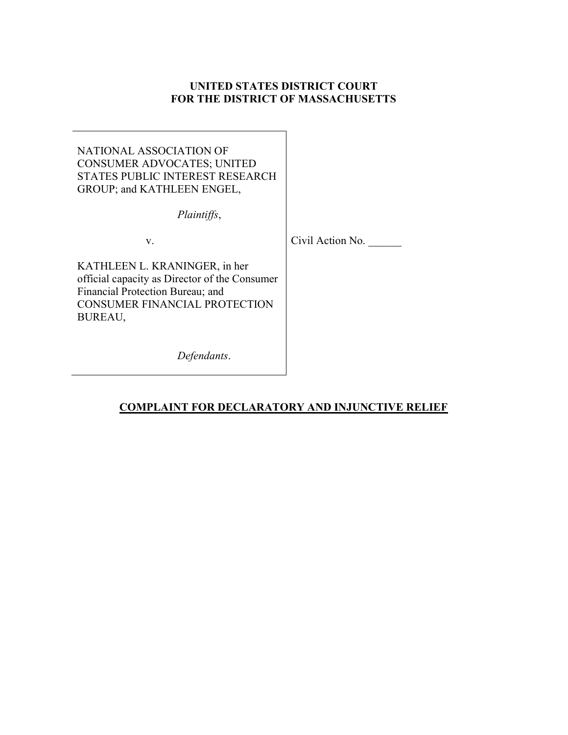# UNITED STATES DISTRICT COURT FOR THE DISTRICT OF MASSACHUSETTS

NATIONAL ASSOCIATION OF CONSUMER ADVOCATES; UNITED STATES PUBLIC INTEREST RESEARCH GROUP; and KATHLEEN ENGEL,

Plaintiffs,

v. Civil Action No.

KATHLEEN L. KRANINGER, in her official capacity as Director of the Consumer Financial Protection Bureau; and CONSUMER FINANCIAL PROTECTION BUREAU,

Defendants.

# COMPLAINT FOR DECLARATORY AND INJUNCTIVE RELIEF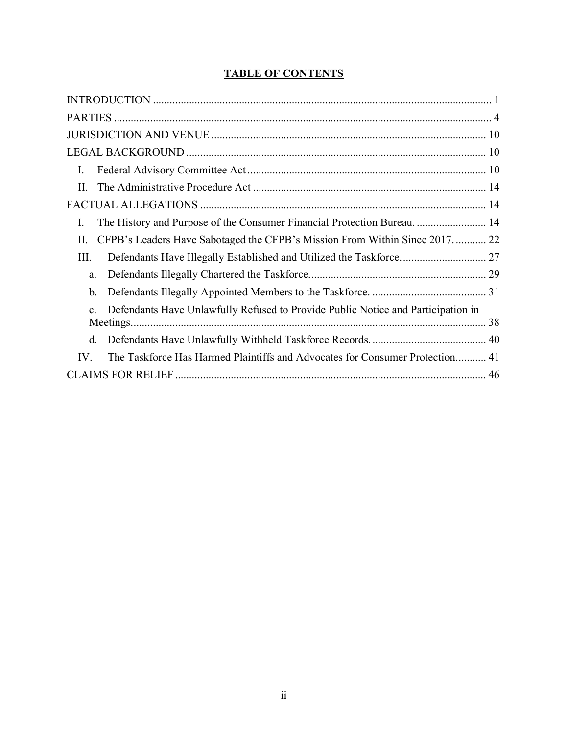# TABLE OF CONTENTS

| Ι.                                                                                                 |
|----------------------------------------------------------------------------------------------------|
| $\Pi$ .                                                                                            |
|                                                                                                    |
| The History and Purpose of the Consumer Financial Protection Bureau.  14<br>I.                     |
| CFPB's Leaders Have Sabotaged the CFPB's Mission From Within Since 2017 22<br>Π.                   |
| Defendants Have Illegally Established and Utilized the Taskforce 27<br>III.                        |
| a.                                                                                                 |
| b.                                                                                                 |
| Defendants Have Unlawfully Refused to Provide Public Notice and Participation in<br>$\mathbf{c}$ . |
| d.                                                                                                 |
| IV.<br>The Taskforce Has Harmed Plaintiffs and Advocates for Consumer Protection 41                |
|                                                                                                    |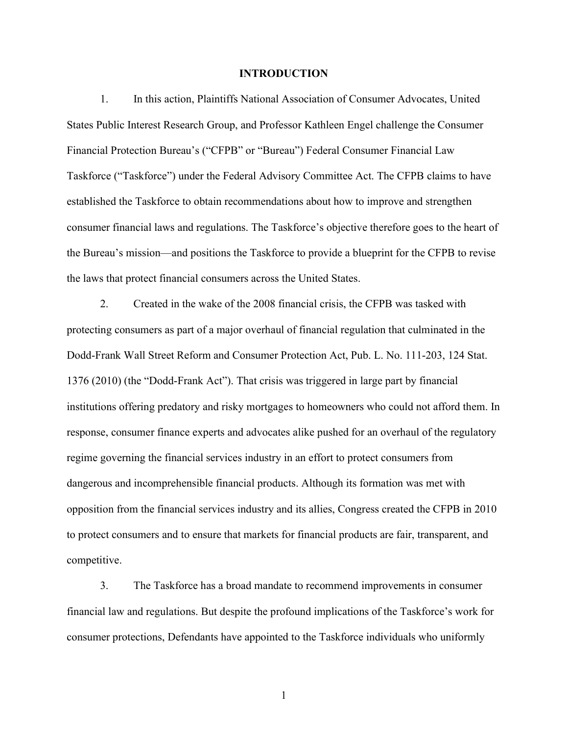#### INTRODUCTION

1. In this action, Plaintiffs National Association of Consumer Advocates, United States Public Interest Research Group, and Professor Kathleen Engel challenge the Consumer Financial Protection Bureau's ("CFPB" or "Bureau") Federal Consumer Financial Law Taskforce ("Taskforce") under the Federal Advisory Committee Act. The CFPB claims to have established the Taskforce to obtain recommendations about how to improve and strengthen consumer financial laws and regulations. The Taskforce's objective therefore goes to the heart of the Bureau's mission—and positions the Taskforce to provide a blueprint for the CFPB to revise the laws that protect financial consumers across the United States.

2. Created in the wake of the 2008 financial crisis, the CFPB was tasked with protecting consumers as part of a major overhaul of financial regulation that culminated in the Dodd-Frank Wall Street Reform and Consumer Protection Act, Pub. L. No. 111-203, 124 Stat. 1376 (2010) (the "Dodd-Frank Act"). That crisis was triggered in large part by financial institutions offering predatory and risky mortgages to homeowners who could not afford them. In response, consumer finance experts and advocates alike pushed for an overhaul of the regulatory regime governing the financial services industry in an effort to protect consumers from dangerous and incomprehensible financial products. Although its formation was met with opposition from the financial services industry and its allies, Congress created the CFPB in 2010 to protect consumers and to ensure that markets for financial products are fair, transparent, and competitive.

3. The Taskforce has a broad mandate to recommend improvements in consumer financial law and regulations. But despite the profound implications of the Taskforce's work for consumer protections, Defendants have appointed to the Taskforce individuals who uniformly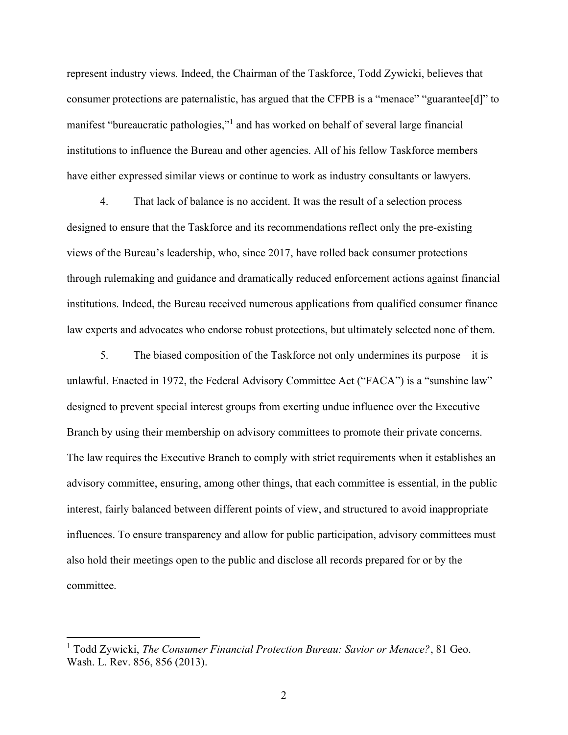represent industry views. Indeed, the Chairman of the Taskforce, Todd Zywicki, believes that consumer protections are paternalistic, has argued that the CFPB is a "menace" "guarantee[d]" to manifest "bureaucratic pathologies,"<sup>1</sup> and has worked on behalf of several large financial institutions to influence the Bureau and other agencies. All of his fellow Taskforce members have either expressed similar views or continue to work as industry consultants or lawyers.

4. That lack of balance is no accident. It was the result of a selection process designed to ensure that the Taskforce and its recommendations reflect only the pre-existing views of the Bureau's leadership, who, since 2017, have rolled back consumer protections through rulemaking and guidance and dramatically reduced enforcement actions against financial institutions. Indeed, the Bureau received numerous applications from qualified consumer finance law experts and advocates who endorse robust protections, but ultimately selected none of them.

5. The biased composition of the Taskforce not only undermines its purpose—it is unlawful. Enacted in 1972, the Federal Advisory Committee Act ("FACA") is a "sunshine law" designed to prevent special interest groups from exerting undue influence over the Executive Branch by using their membership on advisory committees to promote their private concerns. The law requires the Executive Branch to comply with strict requirements when it establishes an advisory committee, ensuring, among other things, that each committee is essential, in the public interest, fairly balanced between different points of view, and structured to avoid inappropriate influences. To ensure transparency and allow for public participation, advisory committees must also hold their meetings open to the public and disclose all records prepared for or by the committee.

<sup>&</sup>lt;sup>1</sup> Todd Zywicki, The Consumer Financial Protection Bureau: Savior or Menace?, 81 Geo. Wash. L. Rev. 856, 856 (2013).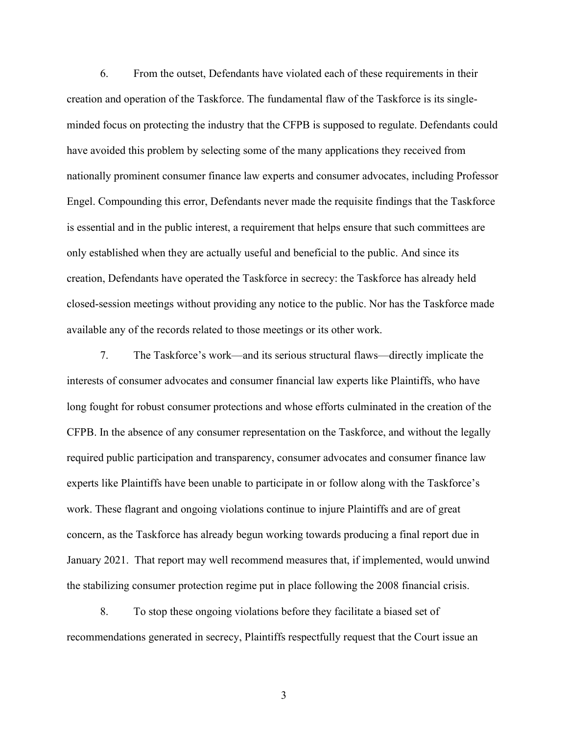6. From the outset, Defendants have violated each of these requirements in their creation and operation of the Taskforce. The fundamental flaw of the Taskforce is its singleminded focus on protecting the industry that the CFPB is supposed to regulate. Defendants could have avoided this problem by selecting some of the many applications they received from nationally prominent consumer finance law experts and consumer advocates, including Professor Engel. Compounding this error, Defendants never made the requisite findings that the Taskforce is essential and in the public interest, a requirement that helps ensure that such committees are only established when they are actually useful and beneficial to the public. And since its creation, Defendants have operated the Taskforce in secrecy: the Taskforce has already held closed-session meetings without providing any notice to the public. Nor has the Taskforce made available any of the records related to those meetings or its other work.

7. The Taskforce's work—and its serious structural flaws—directly implicate the interests of consumer advocates and consumer financial law experts like Plaintiffs, who have long fought for robust consumer protections and whose efforts culminated in the creation of the CFPB. In the absence of any consumer representation on the Taskforce, and without the legally required public participation and transparency, consumer advocates and consumer finance law experts like Plaintiffs have been unable to participate in or follow along with the Taskforce's work. These flagrant and ongoing violations continue to injure Plaintiffs and are of great concern, as the Taskforce has already begun working towards producing a final report due in January 2021. That report may well recommend measures that, if implemented, would unwind the stabilizing consumer protection regime put in place following the 2008 financial crisis.

8. To stop these ongoing violations before they facilitate a biased set of recommendations generated in secrecy, Plaintiffs respectfully request that the Court issue an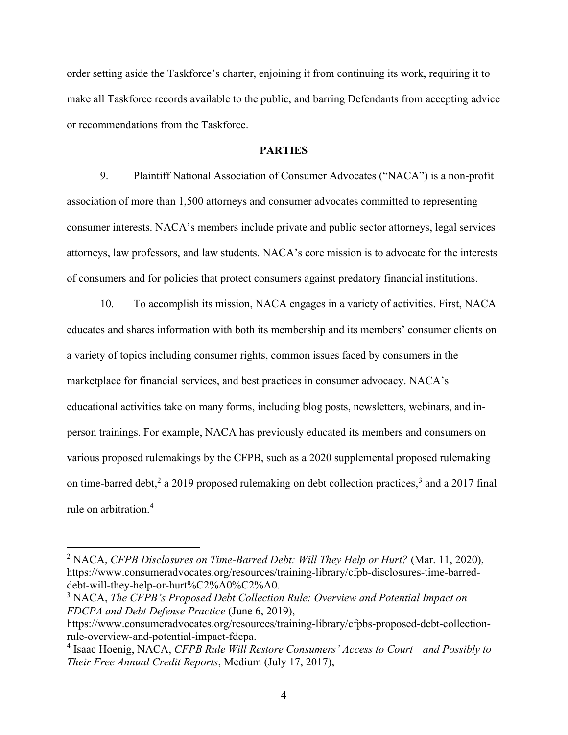order setting aside the Taskforce's charter, enjoining it from continuing its work, requiring it to make all Taskforce records available to the public, and barring Defendants from accepting advice or recommendations from the Taskforce.

#### PARTIES

9. Plaintiff National Association of Consumer Advocates ("NACA") is a non-profit association of more than 1,500 attorneys and consumer advocates committed to representing consumer interests. NACA's members include private and public sector attorneys, legal services attorneys, law professors, and law students. NACA's core mission is to advocate for the interests of consumers and for policies that protect consumers against predatory financial institutions.

10. To accomplish its mission, NACA engages in a variety of activities. First, NACA educates and shares information with both its membership and its members' consumer clients on a variety of topics including consumer rights, common issues faced by consumers in the marketplace for financial services, and best practices in consumer advocacy. NACA's educational activities take on many forms, including blog posts, newsletters, webinars, and inperson trainings. For example, NACA has previously educated its members and consumers on various proposed rulemakings by the CFPB, such as a 2020 supplemental proposed rulemaking on time-barred debt,<sup>2</sup> a 2019 proposed rulemaking on debt collection practices,<sup>3</sup> and a 2017 final rule on arbitration.<sup>4</sup>

<sup>&</sup>lt;sup>2</sup> NACA, CFPB Disclosures on Time-Barred Debt: Will They Help or Hurt? (Mar. 11, 2020), https://www.consumeradvocates.org/resources/training-library/cfpb-disclosures-time-barreddebt-will-they-help-or-hurt%C2%A0%C2%A0.

 $3$  NACA, The CFPB's Proposed Debt Collection Rule: Overview and Potential Impact on FDCPA and Debt Defense Practice (June 6, 2019),

https://www.consumeradvocates.org/resources/training-library/cfpbs-proposed-debt-collectionrule-overview-and-potential-impact-fdcpa.

<sup>&</sup>lt;sup>4</sup> Isaac Hoenig, NACA, CFPB Rule Will Restore Consumers' Access to Court—and Possibly to Their Free Annual Credit Reports, Medium (July 17, 2017),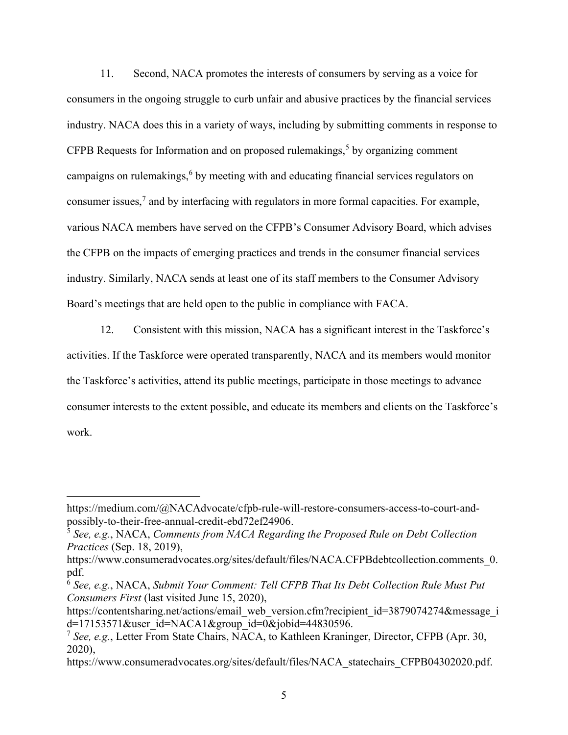11. Second, NACA promotes the interests of consumers by serving as a voice for consumers in the ongoing struggle to curb unfair and abusive practices by the financial services industry. NACA does this in a variety of ways, including by submitting comments in response to CFPB Requests for Information and on proposed rulemakings,<sup>5</sup> by organizing comment campaigns on rulemakings, <sup>6</sup> by meeting with and educating financial services regulators on consumer issues,<sup>7</sup> and by interfacing with regulators in more formal capacities. For example, various NACA members have served on the CFPB's Consumer Advisory Board, which advises the CFPB on the impacts of emerging practices and trends in the consumer financial services industry. Similarly, NACA sends at least one of its staff members to the Consumer Advisory Board's meetings that are held open to the public in compliance with FACA.

12. Consistent with this mission, NACA has a significant interest in the Taskforce's activities. If the Taskforce were operated transparently, NACA and its members would monitor the Taskforce's activities, attend its public meetings, participate in those meetings to advance consumer interests to the extent possible, and educate its members and clients on the Taskforce's work.

https://medium.com/@NACAdvocate/cfpb-rule-will-restore-consumers-access-to-court-andpossibly-to-their-free-annual-credit-ebd72ef24906.

 $\frac{5}{3}$  See, e.g., NACA, Comments from NACA Regarding the Proposed Rule on Debt Collection Practices (Sep. 18, 2019),

https://www.consumeradvocates.org/sites/default/files/NACA.CFPBdebtcollection.comments 0. pdf.

 $6$  See, e.g., NACA, Submit Your Comment: Tell CFPB That Its Debt Collection Rule Must Put Consumers First (last visited June 15, 2020),

https://contentsharing.net/actions/email\_web\_version.cfm?recipient\_id=3879074274&message\_i d=17153571&user\_id=NACA1&group\_id=0&jobid=44830596.

<sup>&</sup>lt;sup>7</sup> See, e.g., Letter From State Chairs, NACA, to Kathleen Kraninger, Director, CFPB (Apr. 30, 2020),

https://www.consumeradvocates.org/sites/default/files/NACA\_statechairs\_CFPB04302020.pdf.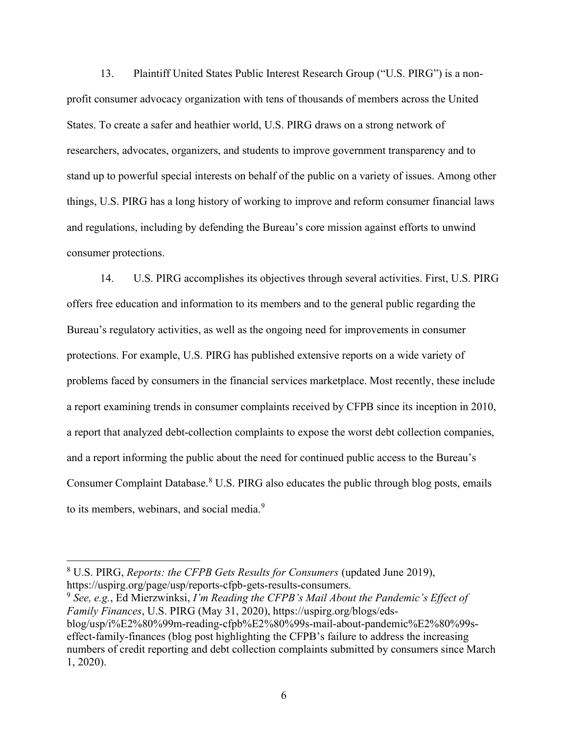13. Plaintiff United States Public Interest Research Group ("U.S. PIRG") is a nonprofit consumer advocacy organization with tens of thousands of members across the United States. To create a safer and heathier world, U.S. PIRG draws on a strong network of researchers, advocates, organizers, and students to improve government transparency and to stand up to powerful special interests on behalf of the public on a variety of issues. Among other things, U.S. PIRG has a long history of working to improve and reform consumer financial laws and regulations, including by defending the Bureau's core mission against efforts to unwind consumer protections.

14. U.S. PIRG accomplishes its objectives through several activities. First, U.S. PIRG offers free education and information to its members and to the general public regarding the Bureau's regulatory activities, as well as the ongoing need for improvements in consumer protections. For example, U.S. PIRG has published extensive reports on a wide variety of problems faced by consumers in the financial services marketplace. Most recently, these include a report examining trends in consumer complaints received by CFPB since its inception in 2010, a report that analyzed debt-collection complaints to expose the worst debt collection companies, and a report informing the public about the need for continued public access to the Bureau's Consumer Complaint Database.<sup>8</sup> U.S. PIRG also educates the public through blog posts, emails to its members, webinars, and social media.<sup>9</sup>

 $9$  See, e.g., Ed Mierzwinksi, I'm Reading the CFPB's Mail About the Pandemic's Effect of Family Finances, U.S. PIRG (May 31, 2020), https://uspirg.org/blogs/edsblog/usp/i%E2%80%99m-reading-cfpb%E2%80%99s-mail-about-pandemic%E2%80%99seffect-family-finances (blog post highlighting the CFPB's failure to address the increasing numbers of credit reporting and debt collection complaints submitted by consumers since March 1, 2020).

 $8$  U.S. PIRG, Reports: the CFPB Gets Results for Consumers (updated June 2019), https://uspirg.org/page/usp/reports-cfpb-gets-results-consumers.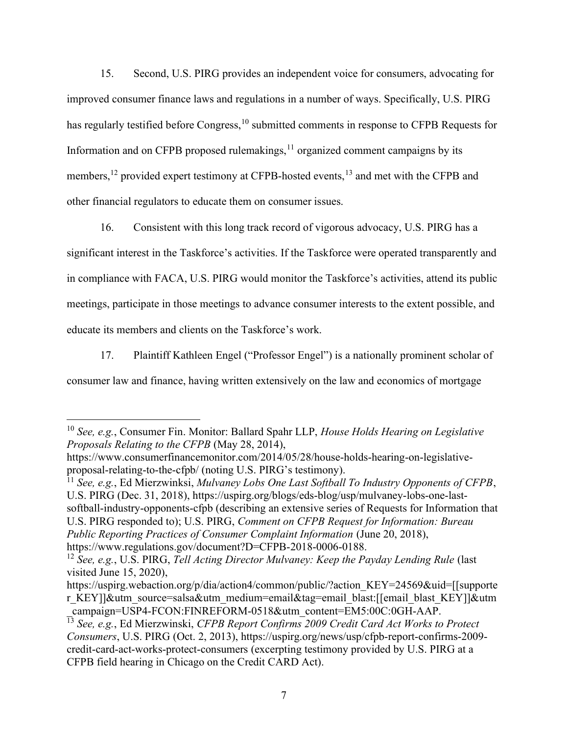15. Second, U.S. PIRG provides an independent voice for consumers, advocating for improved consumer finance laws and regulations in a number of ways. Specifically, U.S. PIRG has regularly testified before Congress,<sup>10</sup> submitted comments in response to CFPB Requests for Information and on CFPB proposed rulemakings, $<sup>11</sup>$  organized comment campaigns by its</sup> members,<sup>12</sup> provided expert testimony at CFPB-hosted events,<sup>13</sup> and met with the CFPB and other financial regulators to educate them on consumer issues.

16. Consistent with this long track record of vigorous advocacy, U.S. PIRG has a significant interest in the Taskforce's activities. If the Taskforce were operated transparently and in compliance with FACA, U.S. PIRG would monitor the Taskforce's activities, attend its public meetings, participate in those meetings to advance consumer interests to the extent possible, and educate its members and clients on the Taskforce's work.

17. Plaintiff Kathleen Engel ("Professor Engel") is a nationally prominent scholar of consumer law and finance, having written extensively on the law and economics of mortgage

<sup>11</sup> See, e.g., Ed Mierzwinksi, Mulvaney Lobs One Last Softball To Industry Opponents of CFPB, U.S. PIRG (Dec. 31, 2018), https://uspirg.org/blogs/eds-blog/usp/mulvaney-lobs-one-lastsoftball-industry-opponents-cfpb (describing an extensive series of Requests for Information that U.S. PIRG responded to); U.S. PIRG, Comment on CFPB Request for Information: Bureau Public Reporting Practices of Consumer Complaint Information (June 20, 2018), https://www.regulations.gov/document?D=CFPB-2018-0006-0188.

 $10$  See, e.g., Consumer Fin. Monitor: Ballard Spahr LLP, House Holds Hearing on Legislative Proposals Relating to the CFPB (May 28, 2014),

https://www.consumerfinancemonitor.com/2014/05/28/house-holds-hearing-on-legislativeproposal-relating-to-the-cfpb/ (noting U.S. PIRG's testimony).

<sup>&</sup>lt;sup>12</sup> See, e.g., U.S. PIRG, Tell Acting Director Mulvaney: Keep the Payday Lending Rule (last visited June 15, 2020),

https://uspirg.webaction.org/p/dia/action4/common/public/?action KEY=24569&uid=[[supporte] r KEY]]&utm\_source=salsa&utm\_medium=email&tag=email\_blast:[[email\_blast\_KEY]]&utm \_campaign=USP4-FCON:FINREFORM-0518&utm\_content=EM5:00C:0GH-AAP.

 $13$  See, e.g., Ed Mierzwinski, CFPB Report Confirms 2009 Credit Card Act Works to Protect Consumers, U.S. PIRG (Oct. 2, 2013), https://uspirg.org/news/usp/cfpb-report-confirms-2009 credit-card-act-works-protect-consumers (excerpting testimony provided by U.S. PIRG at a CFPB field hearing in Chicago on the Credit CARD Act).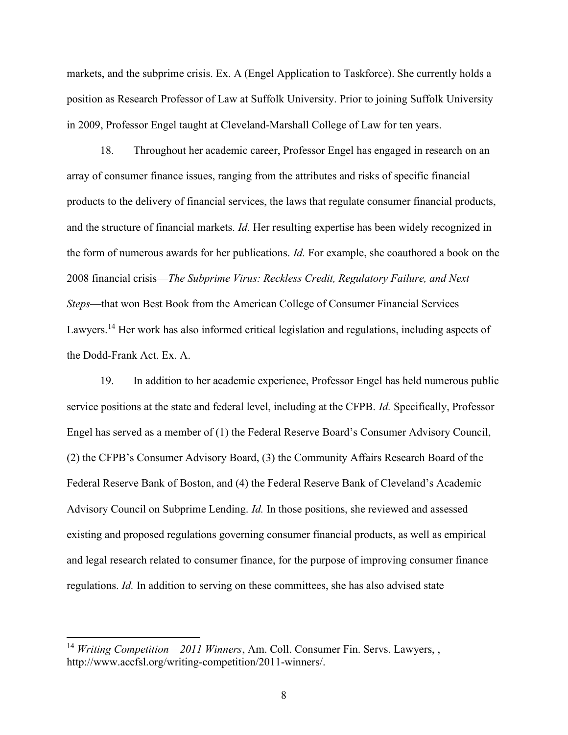markets, and the subprime crisis. Ex. A (Engel Application to Taskforce). She currently holds a position as Research Professor of Law at Suffolk University. Prior to joining Suffolk University in 2009, Professor Engel taught at Cleveland-Marshall College of Law for ten years.

18. Throughout her academic career, Professor Engel has engaged in research on an array of consumer finance issues, ranging from the attributes and risks of specific financial products to the delivery of financial services, the laws that regulate consumer financial products, and the structure of financial markets. *Id*. Her resulting expertise has been widely recognized in the form of numerous awards for her publications. Id. For example, she coauthored a book on the 2008 financial crisis—The Subprime Virus: Reckless Credit, Regulatory Failure, and Next Steps—that won Best Book from the American College of Consumer Financial Services Lawyers.<sup>14</sup> Her work has also informed critical legislation and regulations, including aspects of the Dodd-Frank Act. Ex. A.

19. In addition to her academic experience, Professor Engel has held numerous public service positions at the state and federal level, including at the CFPB. *Id.* Specifically, Professor Engel has served as a member of (1) the Federal Reserve Board's Consumer Advisory Council, (2) the CFPB's Consumer Advisory Board, (3) the Community Affairs Research Board of the Federal Reserve Bank of Boston, and (4) the Federal Reserve Bank of Cleveland's Academic Advisory Council on Subprime Lending. Id. In those positions, she reviewed and assessed existing and proposed regulations governing consumer financial products, as well as empirical and legal research related to consumer finance, for the purpose of improving consumer finance regulations. Id. In addition to serving on these committees, she has also advised state

<sup>&</sup>lt;sup>14</sup> Writing Competition – 2011 Winners, Am. Coll. Consumer Fin. Servs. Lawyers, , http://www.accfsl.org/writing-competition/2011-winners/.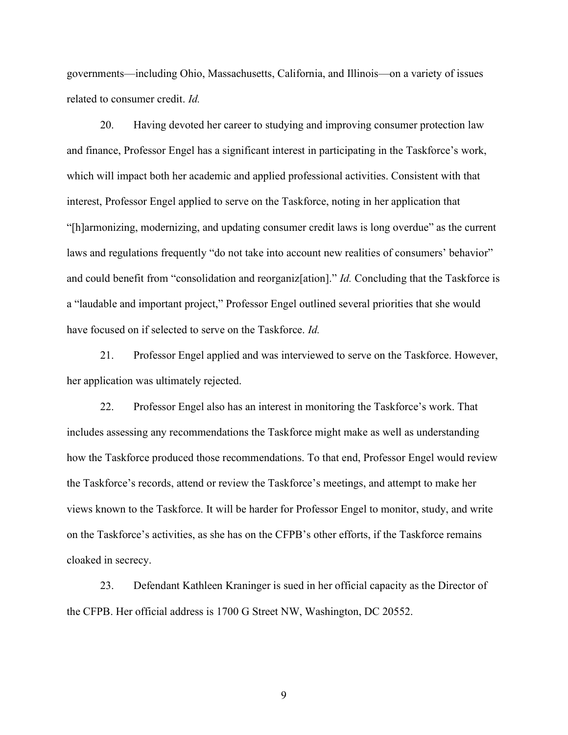governments—including Ohio, Massachusetts, California, and Illinois—on a variety of issues related to consumer credit. Id.

20. Having devoted her career to studying and improving consumer protection law and finance, Professor Engel has a significant interest in participating in the Taskforce's work, which will impact both her academic and applied professional activities. Consistent with that interest, Professor Engel applied to serve on the Taskforce, noting in her application that "[h]armonizing, modernizing, and updating consumer credit laws is long overdue" as the current laws and regulations frequently "do not take into account new realities of consumers' behavior" and could benefit from "consolidation and reorganiz[ation]." Id. Concluding that the Taskforce is a "laudable and important project," Professor Engel outlined several priorities that she would have focused on if selected to serve on the Taskforce. Id.

21. Professor Engel applied and was interviewed to serve on the Taskforce. However, her application was ultimately rejected.

22. Professor Engel also has an interest in monitoring the Taskforce's work. That includes assessing any recommendations the Taskforce might make as well as understanding how the Taskforce produced those recommendations. To that end, Professor Engel would review the Taskforce's records, attend or review the Taskforce's meetings, and attempt to make her views known to the Taskforce. It will be harder for Professor Engel to monitor, study, and write on the Taskforce's activities, as she has on the CFPB's other efforts, if the Taskforce remains cloaked in secrecy.

23. Defendant Kathleen Kraninger is sued in her official capacity as the Director of the CFPB. Her official address is 1700 G Street NW, Washington, DC 20552.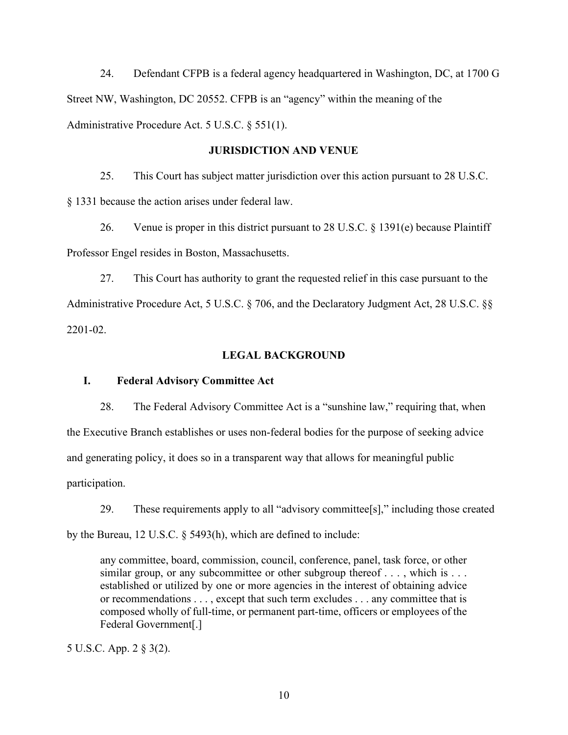24. Defendant CFPB is a federal agency headquartered in Washington, DC, at 1700 G Street NW, Washington, DC 20552. CFPB is an "agency" within the meaning of the Administrative Procedure Act. 5 U.S.C. § 551(1).

#### JURISDICTION AND VENUE

25. This Court has subject matter jurisdiction over this action pursuant to 28 U.S.C. § 1331 because the action arises under federal law.

26. Venue is proper in this district pursuant to 28 U.S.C. § 1391(e) because Plaintiff Professor Engel resides in Boston, Massachusetts.

27. This Court has authority to grant the requested relief in this case pursuant to the Administrative Procedure Act, 5 U.S.C. § 706, and the Declaratory Judgment Act, 28 U.S.C. §§ 2201-02.

#### LEGAL BACKGROUND

## I. Federal Advisory Committee Act

28. The Federal Advisory Committee Act is a "sunshine law," requiring that, when the Executive Branch establishes or uses non-federal bodies for the purpose of seeking advice and generating policy, it does so in a transparent way that allows for meaningful public participation.

29. These requirements apply to all "advisory committee[s]," including those created by the Bureau, 12 U.S.C. § 5493(h), which are defined to include:

any committee, board, commission, council, conference, panel, task force, or other similar group, or any subcommittee or other subgroup thereof . . . , which is . . . established or utilized by one or more agencies in the interest of obtaining advice or recommendations . . . , except that such term excludes . . . any committee that is composed wholly of full-time, or permanent part-time, officers or employees of the Federal Government[.]

5 U.S.C. App. 2 § 3(2).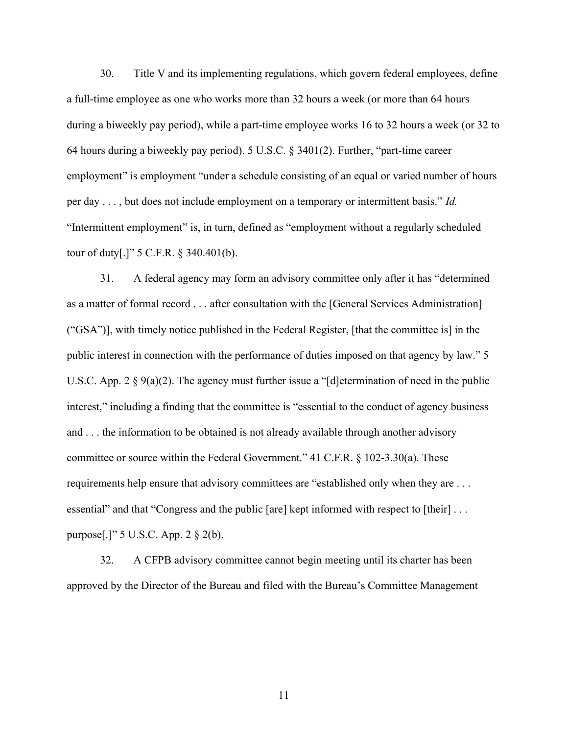30. Title V and its implementing regulations, which govern federal employees, define a full-time employee as one who works more than 32 hours a week (or more than 64 hours during a biweekly pay period), while a part-time employee works 16 to 32 hours a week (or 32 to 64 hours during a biweekly pay period). 5 U.S.C. § 3401(2). Further, "part-time career employment" is employment "under a schedule consisting of an equal or varied number of hours per day . . . , but does not include employment on a temporary or intermittent basis." Id. "Intermittent employment" is, in turn, defined as "employment without a regularly scheduled tour of duty[.]" 5 C.F.R. § 340.401(b).

31. A federal agency may form an advisory committee only after it has "determined as a matter of formal record . . . after consultation with the [General Services Administration] ("GSA")], with timely notice published in the Federal Register, [that the committee is] in the public interest in connection with the performance of duties imposed on that agency by law." 5 U.S.C. App. 2 § 9(a)(2). The agency must further issue a "[d]etermination of need in the public interest," including a finding that the committee is "essential to the conduct of agency business and . . . the information to be obtained is not already available through another advisory committee or source within the Federal Government." 41 C.F.R. § 102-3.30(a). These requirements help ensure that advisory committees are "established only when they are . . . essential" and that "Congress and the public [are] kept informed with respect to [their] ... purpose[.]" 5 U.S.C. App. 2 § 2(b).

32. A CFPB advisory committee cannot begin meeting until its charter has been approved by the Director of the Bureau and filed with the Bureau's Committee Management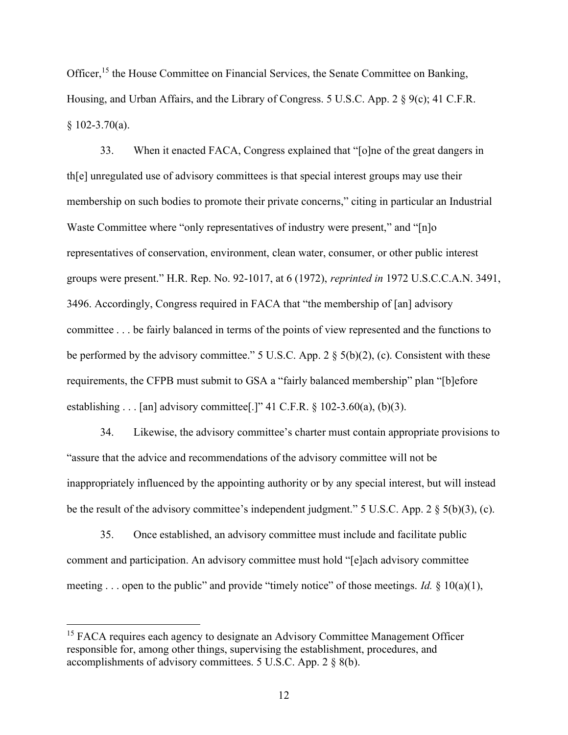Officer,<sup>15</sup> the House Committee on Financial Services, the Senate Committee on Banking, Housing, and Urban Affairs, and the Library of Congress. 5 U.S.C. App. 2 § 9(c); 41 C.F.R. § 102-3.70(a).

33. When it enacted FACA, Congress explained that "[o]ne of the great dangers in th[e] unregulated use of advisory committees is that special interest groups may use their membership on such bodies to promote their private concerns," citing in particular an Industrial Waste Committee where "only representatives of industry were present," and "[n]o representatives of conservation, environment, clean water, consumer, or other public interest groups were present." H.R. Rep. No. 92-1017, at 6 (1972), reprinted in 1972 U.S.C.C.A.N. 3491, 3496. Accordingly, Congress required in FACA that "the membership of [an] advisory committee . . . be fairly balanced in terms of the points of view represented and the functions to be performed by the advisory committee." 5 U.S.C. App. 2  $\S$  5(b)(2), (c). Consistent with these requirements, the CFPB must submit to GSA a "fairly balanced membership" plan "[b]efore establishing . . . [an] advisory committee[.]" 41 C.F.R.  $\S$  102-3.60(a), (b)(3).

34. Likewise, the advisory committee's charter must contain appropriate provisions to "assure that the advice and recommendations of the advisory committee will not be inappropriately influenced by the appointing authority or by any special interest, but will instead be the result of the advisory committee's independent judgment." 5 U.S.C. App. 2 § 5(b)(3), (c).

35. Once established, an advisory committee must include and facilitate public comment and participation. An advisory committee must hold "[e]ach advisory committee meeting . . . open to the public" and provide "timely notice" of those meetings. *Id.*  $\S$  10(a)(1),

<sup>&</sup>lt;sup>15</sup> FACA requires each agency to designate an Advisory Committee Management Officer responsible for, among other things, supervising the establishment, procedures, and accomplishments of advisory committees. 5 U.S.C. App. 2 § 8(b).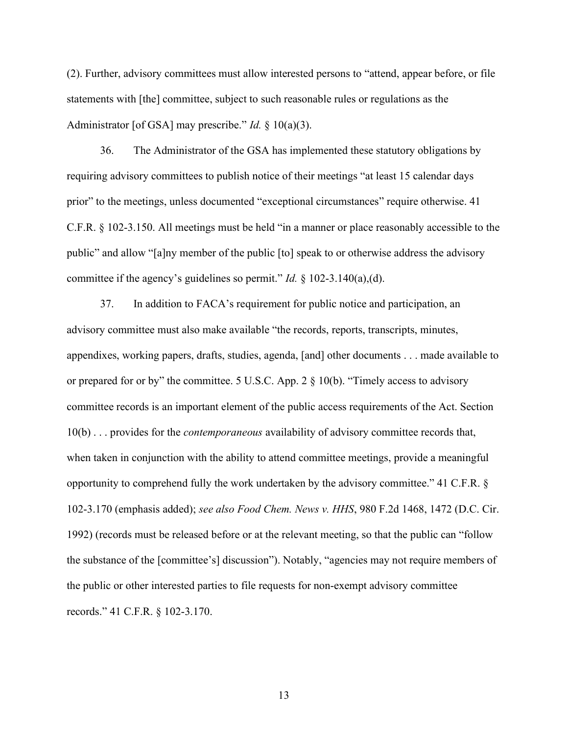(2). Further, advisory committees must allow interested persons to "attend, appear before, or file statements with [the] committee, subject to such reasonable rules or regulations as the Administrator [of GSA] may prescribe." *Id.*  $\S$  10(a)(3).

36. The Administrator of the GSA has implemented these statutory obligations by requiring advisory committees to publish notice of their meetings "at least 15 calendar days prior" to the meetings, unless documented "exceptional circumstances" require otherwise. 41 C.F.R. § 102-3.150. All meetings must be held "in a manner or place reasonably accessible to the public" and allow "[a]ny member of the public [to] speak to or otherwise address the advisory committee if the agency's guidelines so permit." *Id.*  $\S$  102-3.140(a),(d).

37. In addition to FACA's requirement for public notice and participation, an advisory committee must also make available "the records, reports, transcripts, minutes, appendixes, working papers, drafts, studies, agenda, [and] other documents . . . made available to or prepared for or by" the committee. 5 U.S.C. App. 2 § 10(b). "Timely access to advisory committee records is an important element of the public access requirements of the Act. Section 10(b) . . . provides for the *contemporaneous* availability of advisory committee records that, when taken in conjunction with the ability to attend committee meetings, provide a meaningful opportunity to comprehend fully the work undertaken by the advisory committee." 41 C.F.R. § 102-3.170 (emphasis added); see also Food Chem. News v. HHS, 980 F.2d 1468, 1472 (D.C. Cir. 1992) (records must be released before or at the relevant meeting, so that the public can "follow the substance of the [committee's] discussion"). Notably, "agencies may not require members of the public or other interested parties to file requests for non-exempt advisory committee records." 41 C.F.R. § 102-3.170.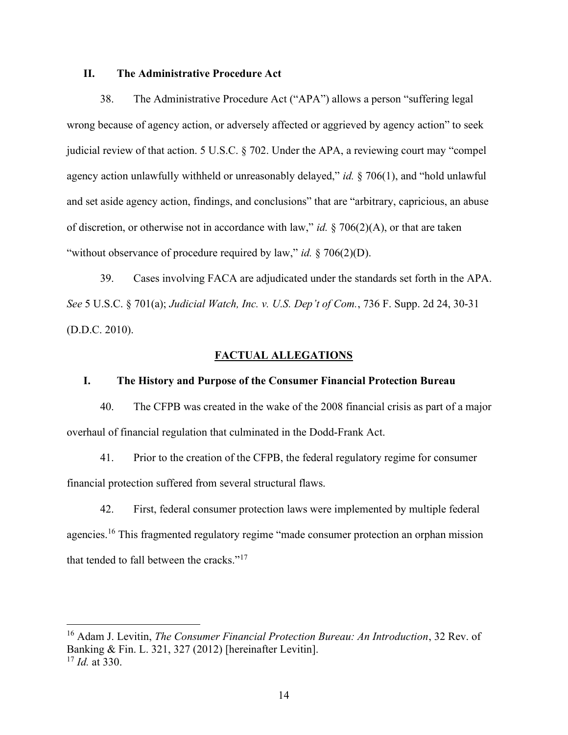# II. The Administrative Procedure Act

38. The Administrative Procedure Act ("APA") allows a person "suffering legal wrong because of agency action, or adversely affected or aggrieved by agency action" to seek judicial review of that action. 5 U.S.C. § 702. Under the APA, a reviewing court may "compel agency action unlawfully withheld or unreasonably delayed," id.  $\S 706(1)$ , and "hold unlawful and set aside agency action, findings, and conclusions" that are "arbitrary, capricious, an abuse of discretion, or otherwise not in accordance with law," id.  $\S 706(2)(A)$ , or that are taken "without observance of procedure required by law," id.  $\S$  706(2)(D).

39. Cases involving FACA are adjudicated under the standards set forth in the APA. See 5 U.S.C. § 701(a); Judicial Watch, Inc. v. U.S. Dep't of Com., 736 F. Supp. 2d 24, 30-31 (D.D.C. 2010).

#### FACTUAL ALLEGATIONS

## I. The History and Purpose of the Consumer Financial Protection Bureau

40. The CFPB was created in the wake of the 2008 financial crisis as part of a major overhaul of financial regulation that culminated in the Dodd-Frank Act.

41. Prior to the creation of the CFPB, the federal regulatory regime for consumer financial protection suffered from several structural flaws.

42. First, federal consumer protection laws were implemented by multiple federal agencies.<sup>16</sup> This fragmented regulatory regime "made consumer protection an orphan mission that tended to fall between the cracks."<sup>17</sup>

 $16$  Adam J. Levitin, The Consumer Financial Protection Bureau: An Introduction, 32 Rev. of Banking & Fin. L. 321, 327 (2012) [hereinafter Levitin].  $17$  *Id.* at 330.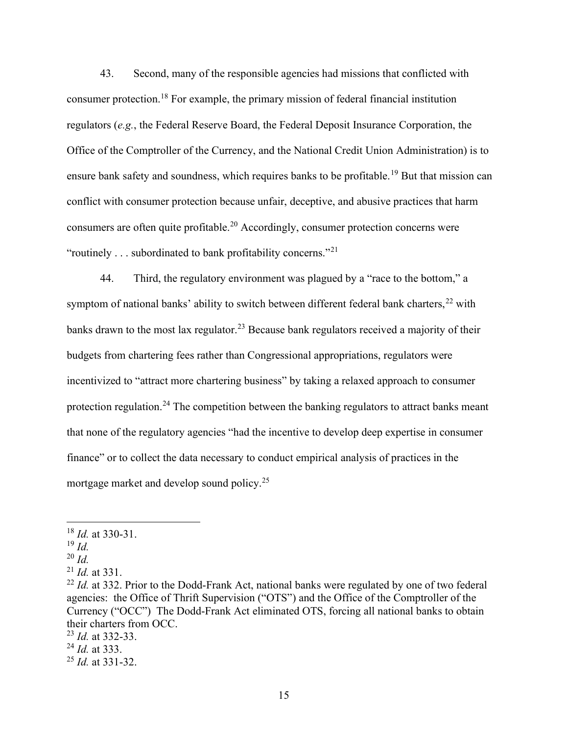43. Second, many of the responsible agencies had missions that conflicted with consumer protection.<sup>18</sup> For example, the primary mission of federal financial institution regulators (e.g., the Federal Reserve Board, the Federal Deposit Insurance Corporation, the Office of the Comptroller of the Currency, and the National Credit Union Administration) is to ensure bank safety and soundness, which requires banks to be profitable.<sup>19</sup> But that mission can conflict with consumer protection because unfair, deceptive, and abusive practices that harm consumers are often quite profitable.<sup>20</sup> Accordingly, consumer protection concerns were "routinely . . . subordinated to bank profitability concerns."<sup>21</sup>

44. Third, the regulatory environment was plagued by a "race to the bottom," a symptom of national banks' ability to switch between different federal bank charters,  $22$  with banks drawn to the most lax regulator.<sup>23</sup> Because bank regulators received a majority of their budgets from chartering fees rather than Congressional appropriations, regulators were incentivized to "attract more chartering business" by taking a relaxed approach to consumer protection regulation.<sup>24</sup> The competition between the banking regulators to attract banks meant that none of the regulatory agencies "had the incentive to develop deep expertise in consumer finance" or to collect the data necessary to conduct empirical analysis of practices in the mortgage market and develop sound policy.<sup>25</sup>

 $20$  *Id.* 

 $^{24}$  *Id.* at 333.

 $18$  *Id.* at 330-31.

 $19$  *Id.* 

 $^{21}$  *Id.* at 331.

 $^{22}$  *Id.* at 332. Prior to the Dodd-Frank Act, national banks were regulated by one of two federal agencies: the Office of Thrift Supervision ("OTS") and the Office of the Comptroller of the Currency ("OCC") The Dodd-Frank Act eliminated OTS, forcing all national banks to obtain their charters from OCC.

 $^{23}$  *Id.* at 332-33.

 $^{25}$  *Id.* at 331-32.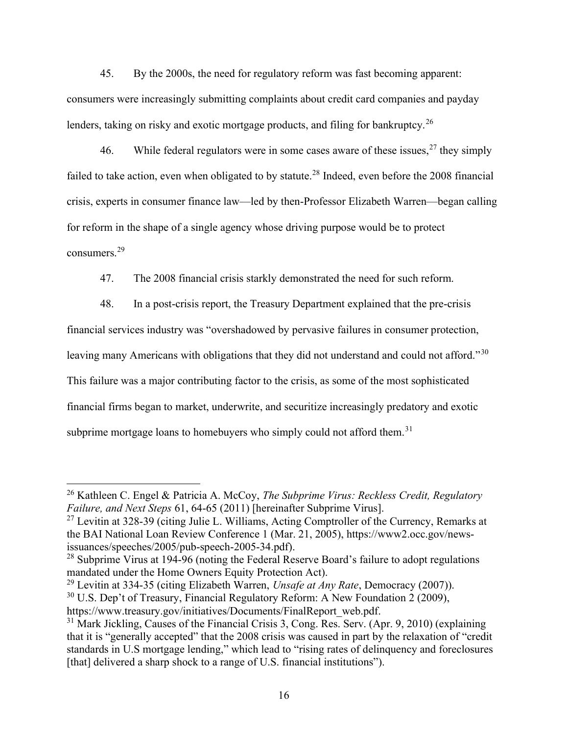45. By the 2000s, the need for regulatory reform was fast becoming apparent: consumers were increasingly submitting complaints about credit card companies and payday lenders, taking on risky and exotic mortgage products, and filing for bankruptcy.<sup>26</sup>

46. While federal regulators were in some cases aware of these issues,  $27$  they simply failed to take action, even when obligated to by statute.<sup>28</sup> Indeed, even before the 2008 financial crisis, experts in consumer finance law—led by then-Professor Elizabeth Warren—began calling for reform in the shape of a single agency whose driving purpose would be to protect consumers.<sup>29</sup>

47. The 2008 financial crisis starkly demonstrated the need for such reform.

48. In a post-crisis report, the Treasury Department explained that the pre-crisis financial services industry was "overshadowed by pervasive failures in consumer protection, leaving many Americans with obligations that they did not understand and could not afford."<sup>30</sup> This failure was a major contributing factor to the crisis, as some of the most sophisticated financial firms began to market, underwrite, and securitize increasingly predatory and exotic subprime mortgage loans to homebuyers who simply could not afford them.<sup>31</sup>

<sup>29</sup> Levitin at 334-35 (citing Elizabeth Warren, *Unsafe at Any Rate*, Democracy (2007)).

<sup>&</sup>lt;sup>26</sup> Kathleen C. Engel & Patricia A. McCoy, *The Subprime Virus: Reckless Credit, Regulatory* Failure, and Next Steps 61, 64-65 (2011) [hereinafter Subprime Virus].

 $27$  Levitin at 328-39 (citing Julie L. Williams, Acting Comptroller of the Currency, Remarks at the BAI National Loan Review Conference 1 (Mar. 21, 2005), https://www2.occ.gov/newsissuances/speeches/2005/pub-speech-2005-34.pdf).

 $28$  Subprime Virus at 194-96 (noting the Federal Reserve Board's failure to adopt regulations mandated under the Home Owners Equity Protection Act).

<sup>30</sup> U.S. Dep't of Treasury, Financial Regulatory Reform: A New Foundation 2 (2009),

https://www.treasury.gov/initiatives/Documents/FinalReport\_web.pdf.

<sup>&</sup>lt;sup>31</sup> Mark Jickling, Causes of the Financial Crisis 3, Cong. Res. Serv. (Apr. 9, 2010) (explaining that it is "generally accepted" that the 2008 crisis was caused in part by the relaxation of "credit standards in U.S mortgage lending," which lead to "rising rates of delinquency and foreclosures [that] delivered a sharp shock to a range of U.S. financial institutions").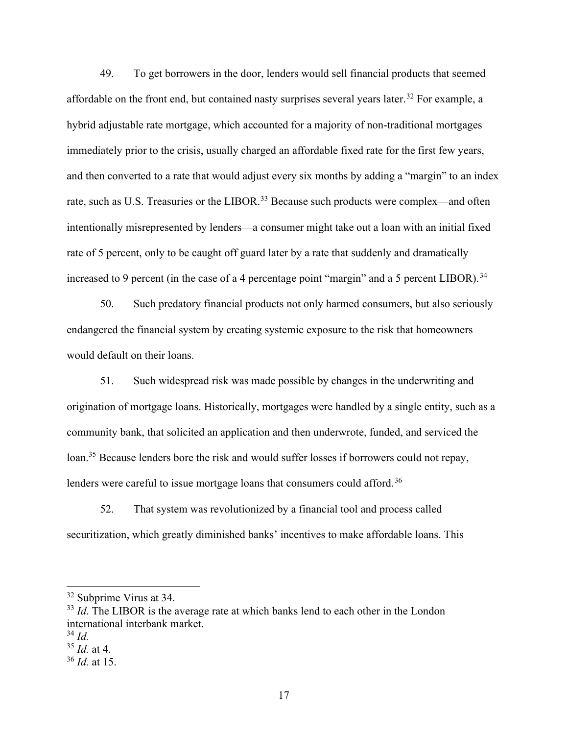49. To get borrowers in the door, lenders would sell financial products that seemed affordable on the front end, but contained nasty surprises several years later.<sup>32</sup> For example, a hybrid adjustable rate mortgage, which accounted for a majority of non-traditional mortgages immediately prior to the crisis, usually charged an affordable fixed rate for the first few years, and then converted to a rate that would adjust every six months by adding a "margin" to an index rate, such as U.S. Treasuries or the LIBOR.<sup>33</sup> Because such products were complex—and often intentionally misrepresented by lenders—a consumer might take out a loan with an initial fixed rate of 5 percent, only to be caught off guard later by a rate that suddenly and dramatically increased to 9 percent (in the case of a 4 percentage point "margin" and a 5 percent LIBOR).<sup>34</sup>

50. Such predatory financial products not only harmed consumers, but also seriously endangered the financial system by creating systemic exposure to the risk that homeowners would default on their loans.

51. Such widespread risk was made possible by changes in the underwriting and origination of mortgage loans. Historically, mortgages were handled by a single entity, such as a community bank, that solicited an application and then underwrote, funded, and serviced the loan.<sup>35</sup> Because lenders bore the risk and would suffer losses if borrowers could not repay, lenders were careful to issue mortgage loans that consumers could afford.<sup>36</sup>

52. That system was revolutionized by a financial tool and process called securitization, which greatly diminished banks' incentives to make affordable loans. This

<sup>32</sup> Subprime Virus at 34.

 $33$  Id. The LIBOR is the average rate at which banks lend to each other in the London international interbank market.

 $34$  Id.

 $35$  *Id.* at 4.

 $36$  *Id.* at 15.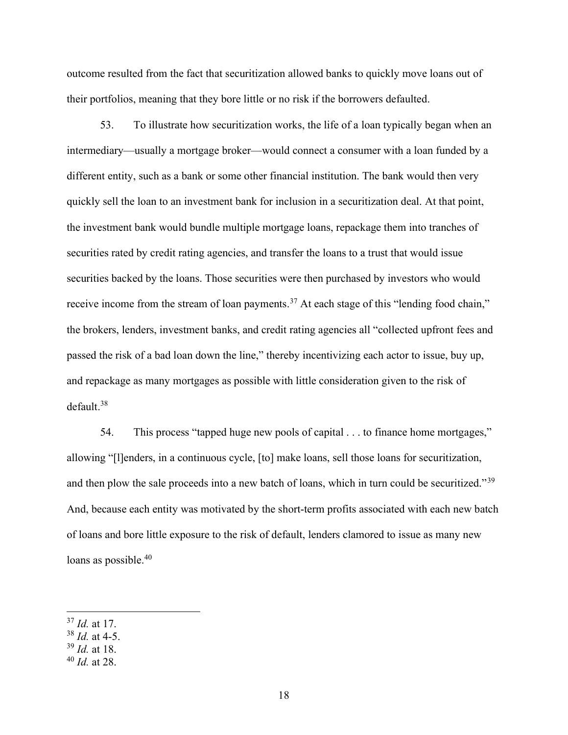outcome resulted from the fact that securitization allowed banks to quickly move loans out of their portfolios, meaning that they bore little or no risk if the borrowers defaulted.

53. To illustrate how securitization works, the life of a loan typically began when an intermediary—usually a mortgage broker—would connect a consumer with a loan funded by a different entity, such as a bank or some other financial institution. The bank would then very quickly sell the loan to an investment bank for inclusion in a securitization deal. At that point, the investment bank would bundle multiple mortgage loans, repackage them into tranches of securities rated by credit rating agencies, and transfer the loans to a trust that would issue securities backed by the loans. Those securities were then purchased by investors who would receive income from the stream of loan payments.<sup>37</sup> At each stage of this "lending food chain," the brokers, lenders, investment banks, and credit rating agencies all "collected upfront fees and passed the risk of a bad loan down the line," thereby incentivizing each actor to issue, buy up, and repackage as many mortgages as possible with little consideration given to the risk of default.<sup>38</sup>

54. This process "tapped huge new pools of capital . . . to finance home mortgages," allowing "[l]enders, in a continuous cycle, [to] make loans, sell those loans for securitization, and then plow the sale proceeds into a new batch of loans, which in turn could be securitized."<sup>39</sup> And, because each entity was motivated by the short-term profits associated with each new batch of loans and bore little exposure to the risk of default, lenders clamored to issue as many new loans as possible.<sup>40</sup>

 $37$  *Id.* at 17.

 $38$  *Id.* at 4-5.

 $39$  *Id.* at 18.

 $40$  *Id.* at 28.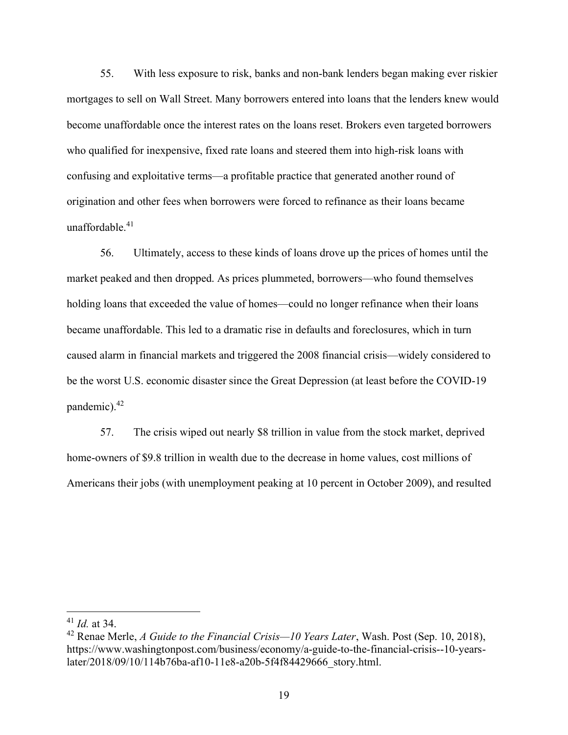55. With less exposure to risk, banks and non-bank lenders began making ever riskier mortgages to sell on Wall Street. Many borrowers entered into loans that the lenders knew would become unaffordable once the interest rates on the loans reset. Brokers even targeted borrowers who qualified for inexpensive, fixed rate loans and steered them into high-risk loans with confusing and exploitative terms—a profitable practice that generated another round of origination and other fees when borrowers were forced to refinance as their loans became unaffordable.<sup>41</sup>

56. Ultimately, access to these kinds of loans drove up the prices of homes until the market peaked and then dropped. As prices plummeted, borrowers—who found themselves holding loans that exceeded the value of homes—could no longer refinance when their loans became unaffordable. This led to a dramatic rise in defaults and foreclosures, which in turn caused alarm in financial markets and triggered the 2008 financial crisis—widely considered to be the worst U.S. economic disaster since the Great Depression (at least before the COVID-19 pandemic).<sup>42</sup>

57. The crisis wiped out nearly \$8 trillion in value from the stock market, deprived home-owners of \$9.8 trillion in wealth due to the decrease in home values, cost millions of Americans their jobs (with unemployment peaking at 10 percent in October 2009), and resulted

 $41$  *Id.* at 34.

<sup>&</sup>lt;sup>42</sup> Renae Merle, A Guide to the Financial Crisis—10 Years Later, Wash. Post (Sep. 10, 2018), https://www.washingtonpost.com/business/economy/a-guide-to-the-financial-crisis--10-yearslater/2018/09/10/114b76ba-af10-11e8-a20b-5f4f84429666\_story.html.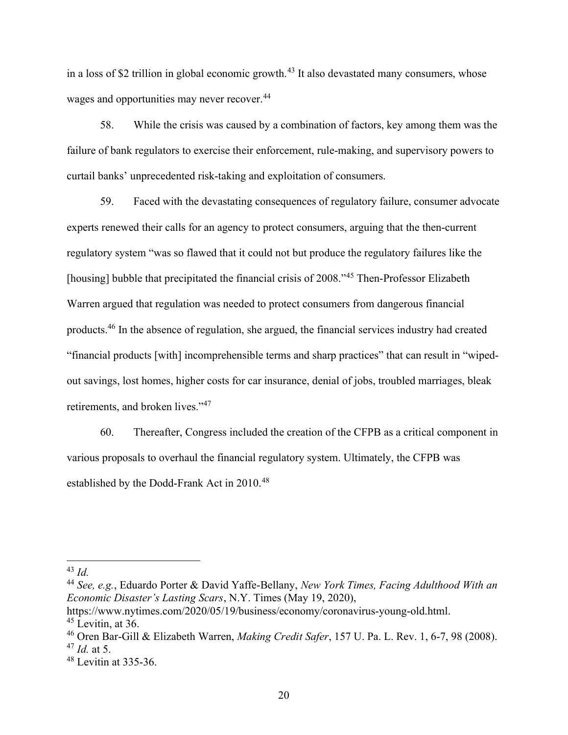in a loss of \$2 trillion in global economic growth.<sup>43</sup> It also devastated many consumers, whose wages and opportunities may never recover.<sup>44</sup>

58. While the crisis was caused by a combination of factors, key among them was the failure of bank regulators to exercise their enforcement, rule-making, and supervisory powers to curtail banks' unprecedented risk-taking and exploitation of consumers.

59. Faced with the devastating consequences of regulatory failure, consumer advocate experts renewed their calls for an agency to protect consumers, arguing that the then-current regulatory system "was so flawed that it could not but produce the regulatory failures like the [housing] bubble that precipitated the financial crisis of 2008.<sup>45</sup> Then-Professor Elizabeth Warren argued that regulation was needed to protect consumers from dangerous financial products.<sup>46</sup> In the absence of regulation, she argued, the financial services industry had created "financial products [with] incomprehensible terms and sharp practices" that can result in "wipedout savings, lost homes, higher costs for car insurance, denial of jobs, troubled marriages, bleak retirements, and broken lives."<sup>47</sup>

60. Thereafter, Congress included the creation of the CFPB as a critical component in various proposals to overhaul the financial regulatory system. Ultimately, the CFPB was established by the Dodd-Frank Act in 2010.<sup>48</sup>

 $43$  Id.

<sup>&</sup>lt;sup>44</sup> See, e.g., Eduardo Porter & David Yaffe-Bellany, New York Times, Facing Adulthood With an Economic Disaster's Lasting Scars, N.Y. Times (May 19, 2020),

https://www.nytimes.com/2020/05/19/business/economy/coronavirus-young-old.html.  $45$  Levitin, at 36.

<sup>&</sup>lt;sup>46</sup> Oren Bar-Gill & Elizabeth Warren, *Making Credit Safer*, 157 U. Pa. L. Rev. 1, 6-7, 98 (2008).  $47$  *Id.* at 5.

<sup>48</sup> Levitin at 335-36.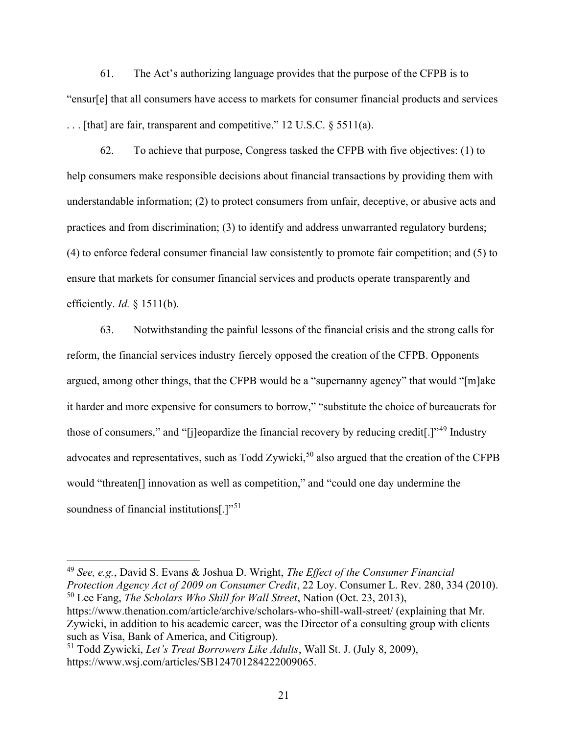61. The Act's authorizing language provides that the purpose of the CFPB is to "ensur[e] that all consumers have access to markets for consumer financial products and services . . . [that] are fair, transparent and competitive." 12 U.S.C. § 5511(a).

62. To achieve that purpose, Congress tasked the CFPB with five objectives: (1) to help consumers make responsible decisions about financial transactions by providing them with understandable information; (2) to protect consumers from unfair, deceptive, or abusive acts and practices and from discrimination; (3) to identify and address unwarranted regulatory burdens; (4) to enforce federal consumer financial law consistently to promote fair competition; and (5) to ensure that markets for consumer financial services and products operate transparently and efficiently.  $Id. \S$  1511(b).

63. Notwithstanding the painful lessons of the financial crisis and the strong calls for reform, the financial services industry fiercely opposed the creation of the CFPB. Opponents argued, among other things, that the CFPB would be a "supernanny agency" that would "[m]ake it harder and more expensive for consumers to borrow," "substitute the choice of bureaucrats for those of consumers," and "[j]eopardize the financial recovery by reducing credit[.]"<sup>49</sup> Industry advocates and representatives, such as Todd Zywicki,<sup>50</sup> also argued that the creation of the CFPB would "threaten[] innovation as well as competition," and "could one day undermine the soundness of financial institutions<sup>[1,1,51</sup>]

<sup>49</sup> See, e.g., David S. Evans & Joshua D. Wright, The Effect of the Consumer Financial Protection Agency Act of 2009 on Consumer Credit, 22 Loy. Consumer L. Rev. 280, 334 (2010).  $50$  Lee Fang, *The Scholars Who Shill for Wall Street*, Nation (Oct. 23, 2013), https://www.thenation.com/article/archive/scholars-who-shill-wall-street/ (explaining that Mr.

Zywicki, in addition to his academic career, was the Director of a consulting group with clients such as Visa, Bank of America, and Citigroup).

<sup>&</sup>lt;sup>51</sup> Todd Zywicki, Let's Treat Borrowers Like Adults, Wall St. J. (July 8, 2009), https://www.wsj.com/articles/SB124701284222009065.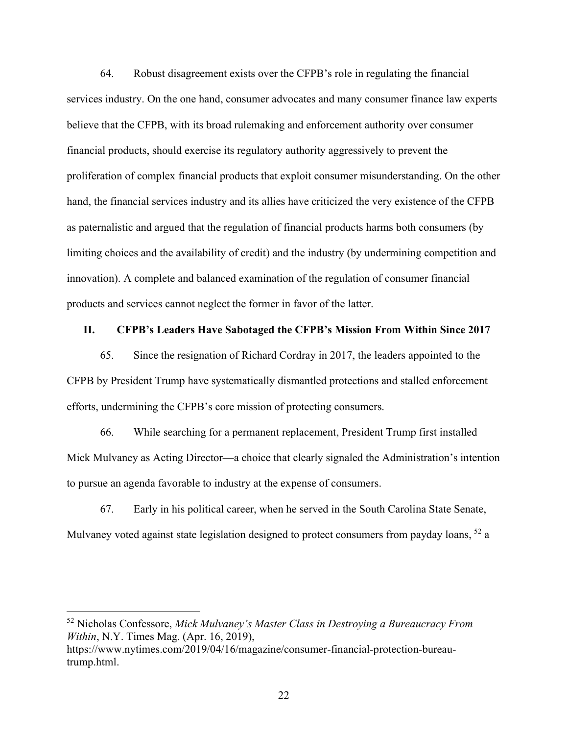64. Robust disagreement exists over the CFPB's role in regulating the financial services industry. On the one hand, consumer advocates and many consumer finance law experts believe that the CFPB, with its broad rulemaking and enforcement authority over consumer financial products, should exercise its regulatory authority aggressively to prevent the proliferation of complex financial products that exploit consumer misunderstanding. On the other hand, the financial services industry and its allies have criticized the very existence of the CFPB as paternalistic and argued that the regulation of financial products harms both consumers (by limiting choices and the availability of credit) and the industry (by undermining competition and innovation). A complete and balanced examination of the regulation of consumer financial products and services cannot neglect the former in favor of the latter.

#### II. CFPB's Leaders Have Sabotaged the CFPB's Mission From Within Since 2017

65. Since the resignation of Richard Cordray in 2017, the leaders appointed to the CFPB by President Trump have systematically dismantled protections and stalled enforcement efforts, undermining the CFPB's core mission of protecting consumers.

66. While searching for a permanent replacement, President Trump first installed Mick Mulvaney as Acting Director—a choice that clearly signaled the Administration's intention to pursue an agenda favorable to industry at the expense of consumers.

67. Early in his political career, when he served in the South Carolina State Senate, Mulvaney voted against state legislation designed to protect consumers from payday loans, <sup>52</sup> a

 $52$  Nicholas Confessore, Mick Mulvaney's Master Class in Destroying a Bureaucracy From Within, N.Y. Times Mag. (Apr. 16, 2019),

https://www.nytimes.com/2019/04/16/magazine/consumer-financial-protection-bureautrump.html.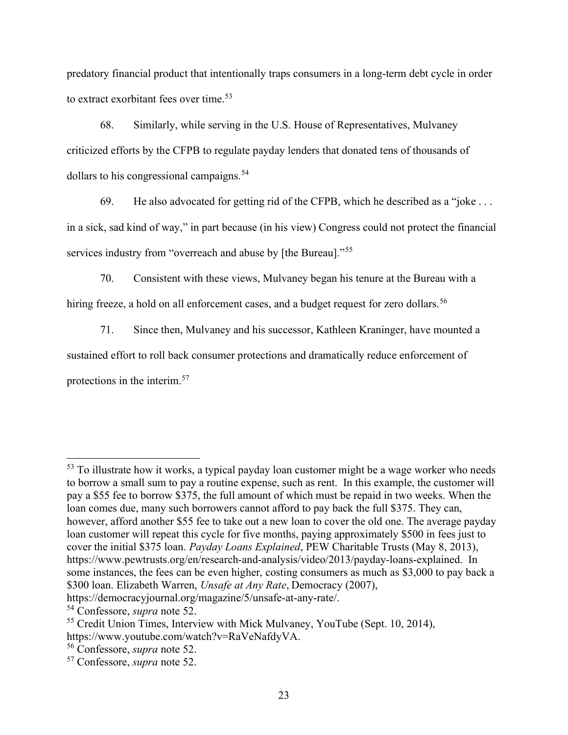predatory financial product that intentionally traps consumers in a long-term debt cycle in order to extract exorbitant fees over time.<sup>53</sup>

68. Similarly, while serving in the U.S. House of Representatives, Mulvaney criticized efforts by the CFPB to regulate payday lenders that donated tens of thousands of dollars to his congressional campaigns.<sup>54</sup>

69. He also advocated for getting rid of the CFPB, which he described as a "joke . . .

in a sick, sad kind of way," in part because (in his view) Congress could not protect the financial services industry from "overreach and abuse by [the Bureau]."<sup>55</sup>

70. Consistent with these views, Mulvaney began his tenure at the Bureau with a hiring freeze, a hold on all enforcement cases, and a budget request for zero dollars.<sup>56</sup>

71. Since then, Mulvaney and his successor, Kathleen Kraninger, have mounted a sustained effort to roll back consumer protections and dramatically reduce enforcement of protections in the interim.<sup>57</sup>

 $53$  To illustrate how it works, a typical payday loan customer might be a wage worker who needs to borrow a small sum to pay a routine expense, such as rent. In this example, the customer will pay a \$55 fee to borrow \$375, the full amount of which must be repaid in two weeks. When the loan comes due, many such borrowers cannot afford to pay back the full \$375. They can, however, afford another \$55 fee to take out a new loan to cover the old one. The average payday loan customer will repeat this cycle for five months, paying approximately \$500 in fees just to cover the initial \$375 loan. Payday Loans Explained, PEW Charitable Trusts (May 8, 2013), https://www.pewtrusts.org/en/research-and-analysis/video/2013/payday-loans-explained. In some instances, the fees can be even higher, costing consumers as much as \$3,000 to pay back a \$300 loan. Elizabeth Warren, Unsafe at Any Rate, Democracy (2007),

https://democracyjournal.org/magazine/5/unsafe-at-any-rate/.

<sup>54</sup> Confessore, supra note 52.

<sup>&</sup>lt;sup>55</sup> Credit Union Times, Interview with Mick Mulvaney, YouTube (Sept. 10, 2014), https://www.youtube.com/watch?v=RaVeNafdyVA.

<sup>56</sup> Confessore, supra note 52.

<sup>57</sup> Confessore, supra note 52.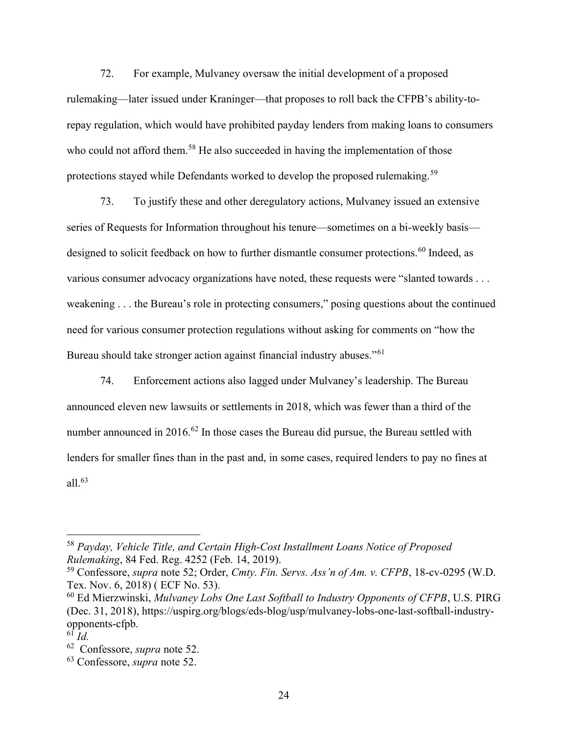72. For example, Mulvaney oversaw the initial development of a proposed rulemaking—later issued under Kraninger—that proposes to roll back the CFPB's ability-torepay regulation, which would have prohibited payday lenders from making loans to consumers who could not afford them.<sup>58</sup> He also succeeded in having the implementation of those protections stayed while Defendants worked to develop the proposed rulemaking.<sup>59</sup>

73. To justify these and other deregulatory actions, Mulvaney issued an extensive series of Requests for Information throughout his tenure—sometimes on a bi-weekly basis designed to solicit feedback on how to further dismantle consumer protections.<sup>60</sup> Indeed, as various consumer advocacy organizations have noted, these requests were "slanted towards . . . weakening . . . the Bureau's role in protecting consumers," posing questions about the continued need for various consumer protection regulations without asking for comments on "how the Bureau should take stronger action against financial industry abuses."<sup>61</sup>

74. Enforcement actions also lagged under Mulvaney's leadership. The Bureau announced eleven new lawsuits or settlements in 2018, which was fewer than a third of the number announced in 2016.<sup>62</sup> In those cases the Bureau did pursue, the Bureau settled with lenders for smaller fines than in the past and, in some cases, required lenders to pay no fines at all. $^{63}$ 

<sup>58</sup> Payday, Vehicle Title, and Certain High-Cost Installment Loans Notice of Proposed Rulemaking, 84 Fed. Reg. 4252 (Feb. 14, 2019).

<sup>59</sup> Confessore, supra note 52; Order, Cmty. Fin. Servs. Ass'n of Am. v. CFPB, 18-cv-0295 (W.D. Tex. Nov. 6, 2018) ( ECF No. 53).

 $60$  Ed Mierzwinski, Mulvaney Lobs One Last Softball to Industry Opponents of CFPB, U.S. PIRG (Dec. 31, 2018), https://uspirg.org/blogs/eds-blog/usp/mulvaney-lobs-one-last-softball-industryopponents-cfpb.

 $^{6\overline{1}}$  Id.

<sup>62</sup> Confessore, supra note 52.

<sup>63</sup> Confessore, supra note 52.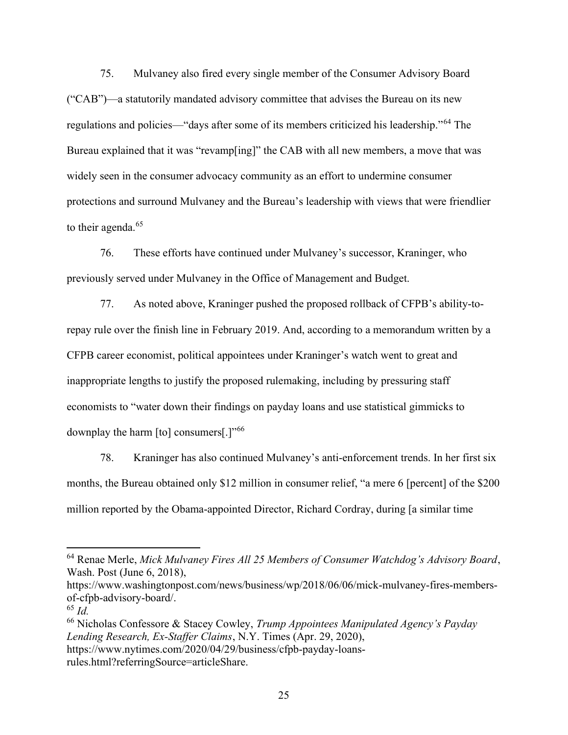75. Mulvaney also fired every single member of the Consumer Advisory Board ("CAB")—a statutorily mandated advisory committee that advises the Bureau on its new regulations and policies—"days after some of its members criticized his leadership."<sup>64</sup> The Bureau explained that it was "revamp[ing]" the CAB with all new members, a move that was widely seen in the consumer advocacy community as an effort to undermine consumer protections and surround Mulvaney and the Bureau's leadership with views that were friendlier to their agenda.<sup>65</sup>

76. These efforts have continued under Mulvaney's successor, Kraninger, who previously served under Mulvaney in the Office of Management and Budget.

77. As noted above, Kraninger pushed the proposed rollback of CFPB's ability-torepay rule over the finish line in February 2019. And, according to a memorandum written by a CFPB career economist, political appointees under Kraninger's watch went to great and inappropriate lengths to justify the proposed rulemaking, including by pressuring staff economists to "water down their findings on payday loans and use statistical gimmicks to downplay the harm [to] consumers[.]"<sup>66</sup>

78. Kraninger has also continued Mulvaney's anti-enforcement trends. In her first six months, the Bureau obtained only \$12 million in consumer relief, "a mere 6 [percent] of the \$200 million reported by the Obama-appointed Director, Richard Cordray, during [a similar time

<sup>64</sup> Renae Merle, Mick Mulvaney Fires All 25 Members of Consumer Watchdog's Advisory Board, Wash. Post (June 6, 2018),

https://www.washingtonpost.com/news/business/wp/2018/06/06/mick-mulvaney-fires-membersof-cfpb-advisory-board/.

 $65$  Id.

 $66$  Nicholas Confessore & Stacey Cowley, Trump Appointees Manipulated Agency's Payday Lending Research, Ex-Staffer Claims, N.Y. Times (Apr. 29, 2020), https://www.nytimes.com/2020/04/29/business/cfpb-payday-loans-

rules.html?referringSource=articleShare.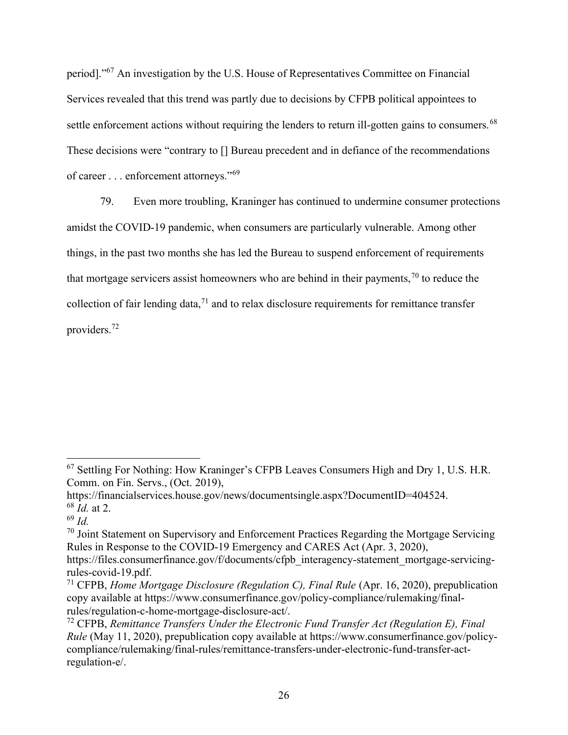period]."<sup>67</sup> An investigation by the U.S. House of Representatives Committee on Financial Services revealed that this trend was partly due to decisions by CFPB political appointees to settle enforcement actions without requiring the lenders to return ill-gotten gains to consumers.<sup>68</sup> These decisions were "contrary to [] Bureau precedent and in defiance of the recommendations of career . . . enforcement attorneys."<sup>69</sup>

79. Even more troubling, Kraninger has continued to undermine consumer protections amidst the COVID-19 pandemic, when consumers are particularly vulnerable. Among other things, in the past two months she has led the Bureau to suspend enforcement of requirements that mortgage servicers assist homeowners who are behind in their payments,  $\frac{70}{10}$  to reduce the collection of fair lending data, $71$  and to relax disclosure requirements for remittance transfer providers.<sup>72</sup>

<sup>67</sup> Settling For Nothing: How Kraninger's CFPB Leaves Consumers High and Dry 1, U.S. H.R. Comm. on Fin. Servs., (Oct. 2019),

https://financialservices.house.gov/news/documentsingle.aspx?DocumentID=404524.  $68$  *Id.* at 2.

 $69$  *Id.* 

 $70$  Joint Statement on Supervisory and Enforcement Practices Regarding the Mortgage Servicing Rules in Response to the COVID-19 Emergency and CARES Act (Apr. 3, 2020),

https://files.consumerfinance.gov/f/documents/cfpb\_interagency-statement\_mortgage-servicingrules-covid-19.pdf.

<sup>&</sup>lt;sup>71</sup> CFPB, *Home Mortgage Disclosure (Regulation C)*, *Final Rule* (Apr. 16, 2020), prepublication copy available at https://www.consumerfinance.gov/policy-compliance/rulemaking/finalrules/regulation-c-home-mortgage-disclosure-act/.

 $72$  CFPB, Remittance Transfers Under the Electronic Fund Transfer Act (Regulation E), Final Rule (May 11, 2020), prepublication copy available at https://www.consumerfinance.gov/policycompliance/rulemaking/final-rules/remittance-transfers-under-electronic-fund-transfer-actregulation-e/.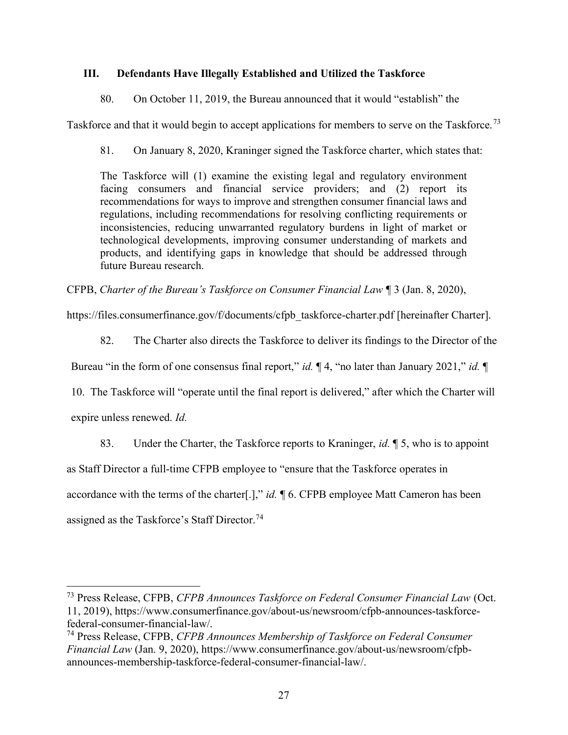# III. Defendants Have Illegally Established and Utilized the Taskforce

80. On October 11, 2019, the Bureau announced that it would "establish" the

Taskforce and that it would begin to accept applications for members to serve on the Taskforce.<sup>73</sup>

81. On January 8, 2020, Kraninger signed the Taskforce charter, which states that:

The Taskforce will (1) examine the existing legal and regulatory environment facing consumers and financial service providers; and (2) report its recommendations for ways to improve and strengthen consumer financial laws and regulations, including recommendations for resolving conflicting requirements or inconsistencies, reducing unwarranted regulatory burdens in light of market or technological developments, improving consumer understanding of markets and products, and identifying gaps in knowledge that should be addressed through future Bureau research.

CFPB, Charter of the Bureau's Taskforce on Consumer Financial Law ¶ 3 (Jan. 8, 2020),

https://files.consumerfinance.gov/f/documents/cfpb\_taskforce-charter.pdf [hereinafter Charter].

82. The Charter also directs the Taskforce to deliver its findings to the Director of the

Bureau "in the form of one consensus final report," id.  $\P$  4, "no later than January 2021," id.  $\P$ 

10. The Taskforce will "operate until the final report is delivered," after which the Charter will

expire unless renewed. Id.

83. Under the Charter, the Taskforce reports to Kraninger, *id*.  $\parallel$  5, who is to appoint

as Staff Director a full-time CFPB employee to "ensure that the Taskforce operates in

accordance with the terms of the charter[.]," id.  $\P$  6. CFPB employee Matt Cameron has been

assigned as the Taskforce's Staff Director.<sup>74</sup>

<sup>73</sup> Press Release, CFPB, CFPB Announces Taskforce on Federal Consumer Financial Law (Oct. 11, 2019), https://www.consumerfinance.gov/about-us/newsroom/cfpb-announces-taskforcefederal-consumer-financial-law/.

<sup>&</sup>lt;sup>74</sup> Press Release, CFPB, CFPB Announces Membership of Taskforce on Federal Consumer Financial Law (Jan. 9, 2020), https://www.consumerfinance.gov/about-us/newsroom/cfpbannounces-membership-taskforce-federal-consumer-financial-law/.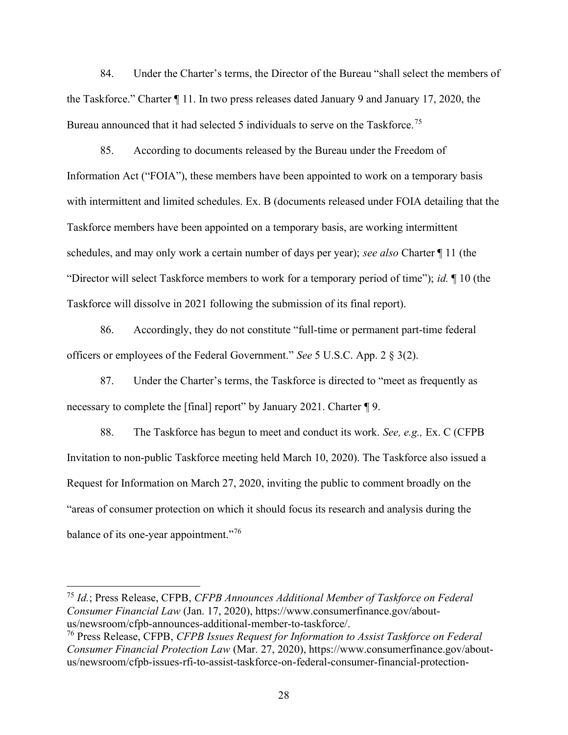84. Under the Charter's terms, the Director of the Bureau "shall select the members of the Taskforce." Charter ¶ 11. In two press releases dated January 9 and January 17, 2020, the Bureau announced that it had selected 5 individuals to serve on the Taskforce.<sup>75</sup>

85. According to documents released by the Bureau under the Freedom of Information Act ("FOIA"), these members have been appointed to work on a temporary basis with intermittent and limited schedules. Ex. B (documents released under FOIA detailing that the Taskforce members have been appointed on a temporary basis, are working intermittent schedules, and may only work a certain number of days per year); see also Charter  $\P$  11 (the "Director will select Taskforce members to work for a temporary period of time"); id.  $\P$  10 (the Taskforce will dissolve in 2021 following the submission of its final report).

86. Accordingly, they do not constitute "full-time or permanent part-time federal officers or employees of the Federal Government." See 5 U.S.C. App. 2 § 3(2).

87. Under the Charter's terms, the Taskforce is directed to "meet as frequently as necessary to complete the [final] report" by January 2021. Charter ¶ 9.

88. The Taskforce has begun to meet and conduct its work. See, e.g., Ex. C (CFPB Invitation to non-public Taskforce meeting held March 10, 2020). The Taskforce also issued a Request for Information on March 27, 2020, inviting the public to comment broadly on the "areas of consumer protection on which it should focus its research and analysis during the balance of its one-year appointment."<sup>76</sup>

<sup>75</sup> Id.; Press Release, CFPB, CFPB Announces Additional Member of Taskforce on Federal Consumer Financial Law (Jan. 17, 2020), https://www.consumerfinance.gov/aboutus/newsroom/cfpb-announces-additional-member-to-taskforce/.

<sup>&</sup>lt;sup>76</sup> Press Release, CFPB, CFPB Issues Request for Information to Assist Taskforce on Federal Consumer Financial Protection Law (Mar. 27, 2020), https://www.consumerfinance.gov/aboutus/newsroom/cfpb-issues-rfi-to-assist-taskforce-on-federal-consumer-financial-protection-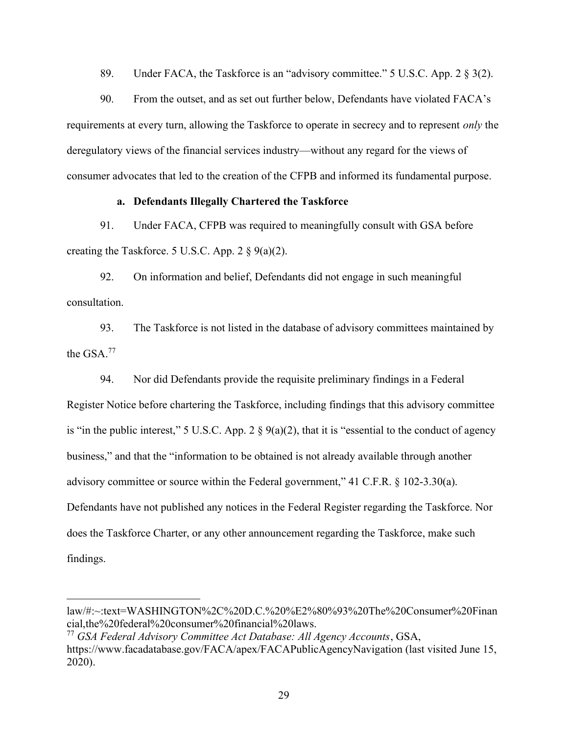89. Under FACA, the Taskforce is an "advisory committee." 5 U.S.C. App. 2 § 3(2).

90. From the outset, and as set out further below, Defendants have violated FACA's requirements at every turn, allowing the Taskforce to operate in secrecy and to represent only the deregulatory views of the financial services industry—without any regard for the views of consumer advocates that led to the creation of the CFPB and informed its fundamental purpose.

#### a. Defendants Illegally Chartered the Taskforce

91. Under FACA, CFPB was required to meaningfully consult with GSA before creating the Taskforce. 5 U.S.C. App.  $2 \S 9(a)(2)$ .

92. On information and belief, Defendants did not engage in such meaningful consultation.

93. The Taskforce is not listed in the database of advisory committees maintained by the GSA.<sup>77</sup>

94. Nor did Defendants provide the requisite preliminary findings in a Federal Register Notice before chartering the Taskforce, including findings that this advisory committee is "in the public interest," 5 U.S.C. App. 2  $\S$  9(a)(2), that it is "essential to the conduct of agency business," and that the "information to be obtained is not already available through another advisory committee or source within the Federal government," 41 C.F.R. § 102-3.30(a). Defendants have not published any notices in the Federal Register regarding the Taskforce. Nor does the Taskforce Charter, or any other announcement regarding the Taskforce, make such findings.

law/#:~:text=WASHINGTON%2C%20D.C.%20%E2%80%93%20The%20Consumer%20Finan cial,the%20federal%20consumer%20financial%20laws.

 $^{77}$  GSA Federal Advisory Committee Act Database: All Agency Accounts, GSA, https://www.facadatabase.gov/FACA/apex/FACAPublicAgencyNavigation (last visited June 15, 2020).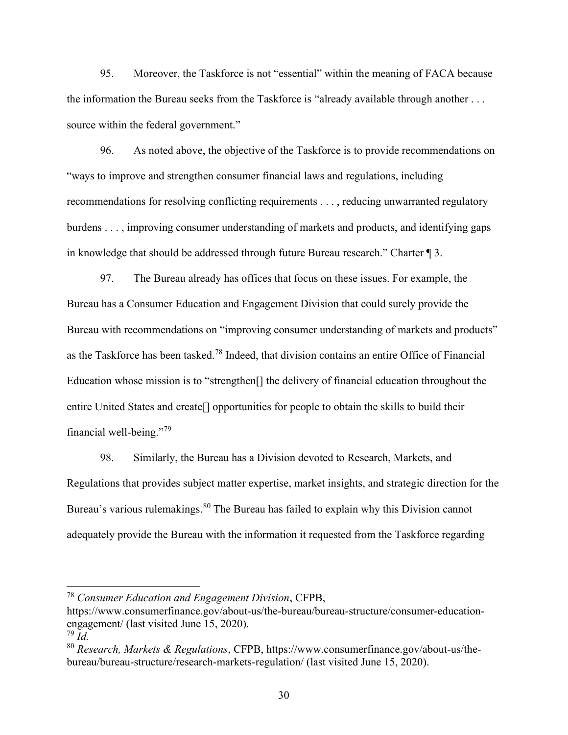95. Moreover, the Taskforce is not "essential" within the meaning of FACA because the information the Bureau seeks from the Taskforce is "already available through another . . . source within the federal government."

96. As noted above, the objective of the Taskforce is to provide recommendations on "ways to improve and strengthen consumer financial laws and regulations, including recommendations for resolving conflicting requirements . . . , reducing unwarranted regulatory burdens . . . , improving consumer understanding of markets and products, and identifying gaps in knowledge that should be addressed through future Bureau research." Charter ¶ 3.

97. The Bureau already has offices that focus on these issues. For example, the Bureau has a Consumer Education and Engagement Division that could surely provide the Bureau with recommendations on "improving consumer understanding of markets and products" as the Taskforce has been tasked.<sup>78</sup> Indeed, that division contains an entire Office of Financial Education whose mission is to "strengthen[] the delivery of financial education throughout the entire United States and create[] opportunities for people to obtain the skills to build their financial well-being."<sup>79</sup>

98. Similarly, the Bureau has a Division devoted to Research, Markets, and Regulations that provides subject matter expertise, market insights, and strategic direction for the Bureau's various rulemakings.<sup>80</sup> The Bureau has failed to explain why this Division cannot adequately provide the Bureau with the information it requested from the Taskforce regarding

 $78$  Consumer Education and Engagement Division, CFPB,

https://www.consumerfinance.gov/about-us/the-bureau/bureau-structure/consumer-educationengagement/ (last visited June 15, 2020).

 $79$  Id.

 $80$  Research, Markets & Regulations, CFPB, https://www.consumerfinance.gov/about-us/thebureau/bureau-structure/research-markets-regulation/ (last visited June 15, 2020).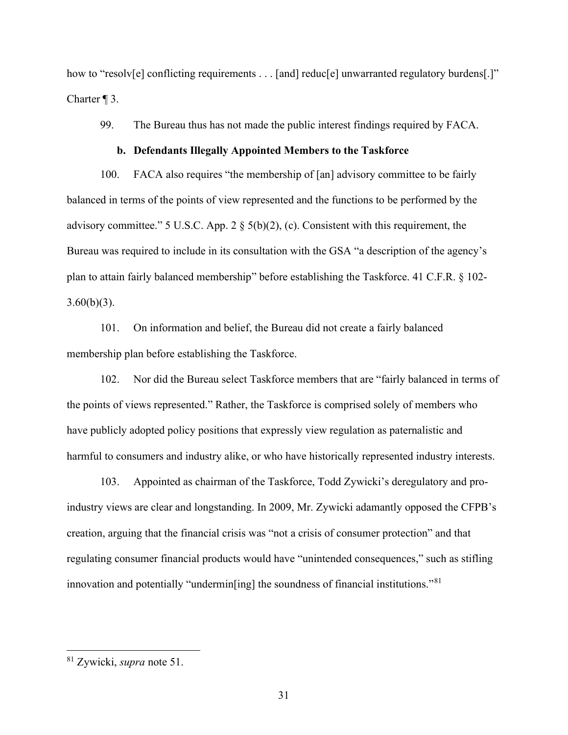how to "resolv[e] conflicting requirements . . . [and] reduc[e] unwarranted regulatory burdens[.]" Charter ¶ 3.

99. The Bureau thus has not made the public interest findings required by FACA.

#### b. Defendants Illegally Appointed Members to the Taskforce

100. FACA also requires "the membership of [an] advisory committee to be fairly balanced in terms of the points of view represented and the functions to be performed by the advisory committee." 5 U.S.C. App. 2 § 5(b)(2), (c). Consistent with this requirement, the Bureau was required to include in its consultation with the GSA "a description of the agency's plan to attain fairly balanced membership" before establishing the Taskforce. 41 C.F.R. § 102-  $3.60(b)(3)$ .

101. On information and belief, the Bureau did not create a fairly balanced membership plan before establishing the Taskforce.

102. Nor did the Bureau select Taskforce members that are "fairly balanced in terms of the points of views represented." Rather, the Taskforce is comprised solely of members who have publicly adopted policy positions that expressly view regulation as paternalistic and harmful to consumers and industry alike, or who have historically represented industry interests.

103. Appointed as chairman of the Taskforce, Todd Zywicki's deregulatory and proindustry views are clear and longstanding. In 2009, Mr. Zywicki adamantly opposed the CFPB's creation, arguing that the financial crisis was "not a crisis of consumer protection" and that regulating consumer financial products would have "unintended consequences," such as stifling innovation and potentially "undermin[ing] the soundness of financial institutions."<sup>81</sup>

<sup>81</sup> Zywicki, supra note 51.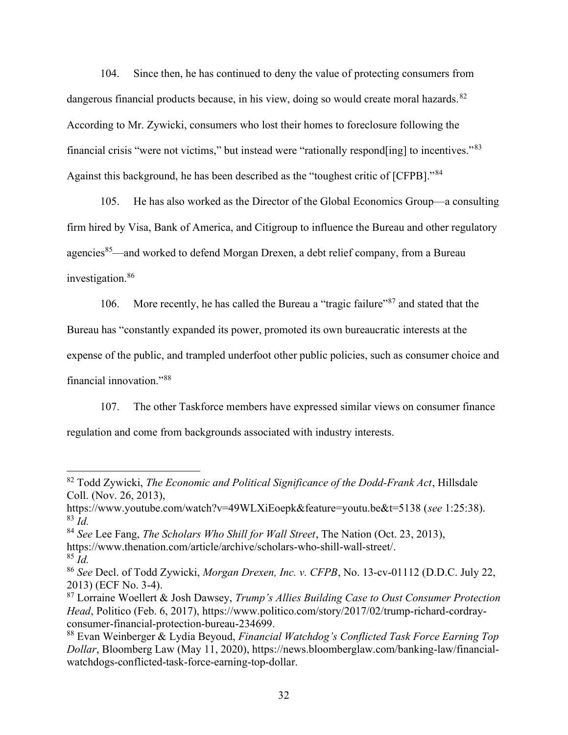104. Since then, he has continued to deny the value of protecting consumers from dangerous financial products because, in his view, doing so would create moral hazards.<sup>82</sup> According to Mr. Zywicki, consumers who lost their homes to foreclosure following the financial crisis "were not victims," but instead were "rationally respond[ing] to incentives."<sup>83</sup> Against this background, he has been described as the "toughest critic of [CFPB]."<sup>84</sup>

105. He has also worked as the Director of the Global Economics Group—a consulting firm hired by Visa, Bank of America, and Citigroup to influence the Bureau and other regulatory agencies<sup>85</sup>—and worked to defend Morgan Drexen, a debt relief company, from a Bureau investigation.<sup>86</sup>

106. More recently, he has called the Bureau a "tragic failure"<sup>87</sup> and stated that the Bureau has "constantly expanded its power, promoted its own bureaucratic interests at the expense of the public, and trampled underfoot other public policies, such as consumer choice and financial innovation."<sup>88</sup>

107. The other Taskforce members have expressed similar views on consumer finance regulation and come from backgrounds associated with industry interests.

 $82$  Todd Zywicki, The Economic and Political Significance of the Dodd-Frank Act, Hillsdale Coll. (Nov. 26, 2013),

https://www.youtube.com/watch?v=49WLXiEoepk&feature=youtu.be&t=5138 (see 1:25:38).  $83$  *Id.* 

 $84$  See Lee Fang, The Scholars Who Shill for Wall Street, The Nation (Oct. 23, 2013),

https://www.thenation.com/article/archive/scholars-who-shill-wall-street/.

 $85$  *Id.* 

<sup>86</sup> See Decl. of Todd Zywicki, Morgan Drexen, Inc. v. CFPB, No. 13-cv-01112 (D.D.C. July 22, 2013) (ECF No. 3-4).

 $87$  Lorraine Woellert & Josh Dawsey, Trump's Allies Building Case to Oust Consumer Protection Head, Politico (Feb. 6, 2017), https://www.politico.com/story/2017/02/trump-richard-cordrayconsumer-financial-protection-bureau-234699.

 $88$  Evan Weinberger & Lydia Beyoud, Financial Watchdog's Conflicted Task Force Earning Top Dollar, Bloomberg Law (May 11, 2020), https://news.bloomberglaw.com/banking-law/financialwatchdogs-conflicted-task-force-earning-top-dollar.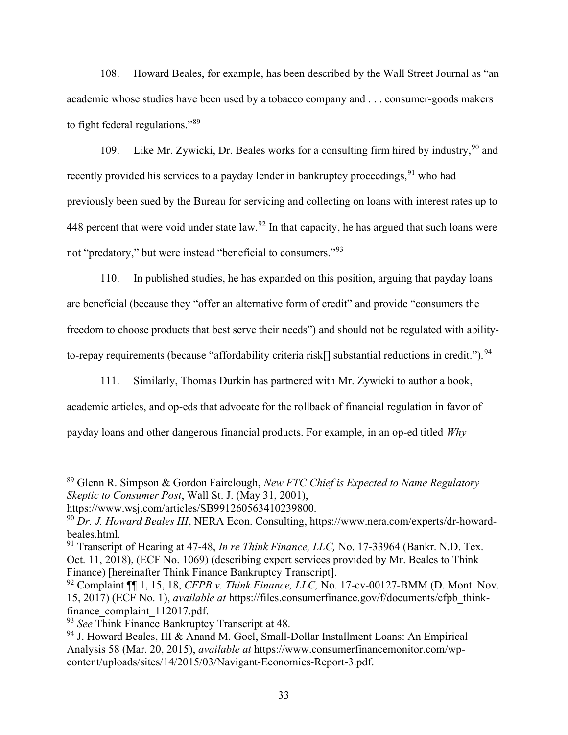108. Howard Beales, for example, has been described by the Wall Street Journal as "an academic whose studies have been used by a tobacco company and . . . consumer-goods makers to fight federal regulations."<sup>89</sup>

109. Like Mr. Zywicki, Dr. Beales works for a consulting firm hired by industry,  $90$  and recently provided his services to a payday lender in bankruptcy proceedings,  $91$  who had previously been sued by the Bureau for servicing and collecting on loans with interest rates up to 448 percent that were void under state law.<sup>92</sup> In that capacity, he has argued that such loans were not "predatory," but were instead "beneficial to consumers."<sup>93</sup>

110. In published studies, he has expanded on this position, arguing that payday loans are beneficial (because they "offer an alternative form of credit" and provide "consumers the freedom to choose products that best serve their needs") and should not be regulated with abilityto-repay requirements (because "affordability criteria risk[] substantial reductions in credit."). <sup>94</sup>

111. Similarly, Thomas Durkin has partnered with Mr. Zywicki to author a book, academic articles, and op-eds that advocate for the rollback of financial regulation in favor of payday loans and other dangerous financial products. For example, in an op-ed titled Why

<sup>89</sup> Glenn R. Simpson & Gordon Fairclough, New FTC Chief is Expected to Name Regulatory Skeptic to Consumer Post, Wall St. J. (May 31, 2001),

https://www.wsj.com/articles/SB991260563410239800.

<sup>90</sup> Dr. J. Howard Beales III, NERA Econ. Consulting, https://www.nera.com/experts/dr-howardbeales.html.

 $91$  Transcript of Hearing at 47-48, In re Think Finance, LLC, No. 17-33964 (Bankr. N.D. Tex.) Oct. 11, 2018), (ECF No. 1069) (describing expert services provided by Mr. Beales to Think Finance) [hereinafter Think Finance Bankruptcy Transcript].

 $92$  Complaint  $\P\P$  1, 15, 18, CFPB v. Think Finance, LLC, No. 17-cv-00127-BMM (D. Mont. Nov. 15, 2017) (ECF No. 1), *available at* https://files.consumerfinance.gov/f/documents/cfpb\_thinkfinance complaint 112017.pdf.

 $93$  See Think Finance Bankruptcy Transcript at 48.

<sup>94</sup> J. Howard Beales, III & Anand M. Goel, Small-Dollar Installment Loans: An Empirical Analysis 58 (Mar. 20, 2015), available at https://www.consumerfinancemonitor.com/wpcontent/uploads/sites/14/2015/03/Navigant-Economics-Report-3.pdf.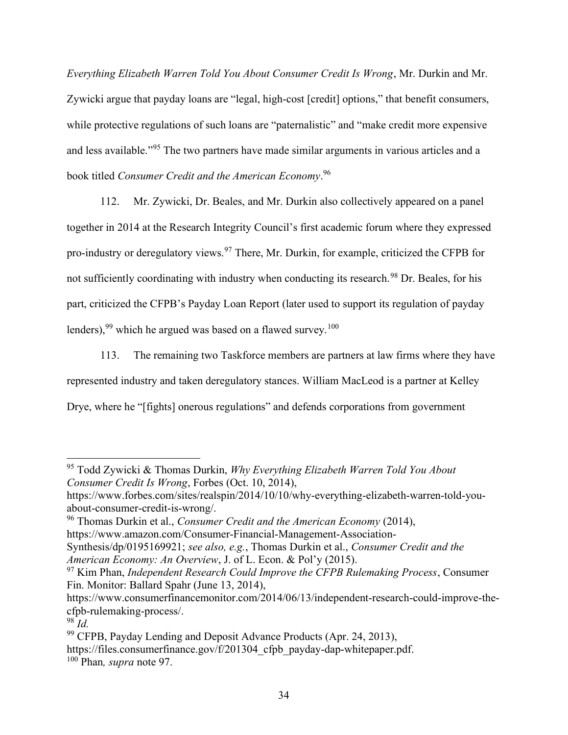Everything Elizabeth Warren Told You About Consumer Credit Is Wrong, Mr. Durkin and Mr. Zywicki argue that payday loans are "legal, high-cost [credit] options," that benefit consumers, while protective regulations of such loans are "paternalistic" and "make credit more expensive and less available."<sup>95</sup> The two partners have made similar arguments in various articles and a book titled Consumer Credit and the American Economy.<sup>96</sup>

112. Mr. Zywicki, Dr. Beales, and Mr. Durkin also collectively appeared on a panel together in 2014 at the Research Integrity Council's first academic forum where they expressed pro-industry or deregulatory views.<sup>97</sup> There, Mr. Durkin, for example, criticized the CFPB for not sufficiently coordinating with industry when conducting its research.<sup>98</sup> Dr. Beales, for his part, criticized the CFPB's Payday Loan Report (later used to support its regulation of payday lenders),  $99$  which he argued was based on a flawed survey.<sup>100</sup>

113. The remaining two Taskforce members are partners at law firms where they have represented industry and taken deregulatory stances. William MacLeod is a partner at Kelley Drye, where he "[fights] onerous regulations" and defends corporations from government

 $96$  Thomas Durkin et al., *Consumer Credit and the American Economy* (2014), https://www.amazon.com/Consumer-Financial-Management-Association-

Synthesis/dp/0195169921; see also, e.g., Thomas Durkin et al., Consumer Credit and the American Economy: An Overview, J. of L. Econ. & Pol'y (2015).

 $95$  Todd Zywicki & Thomas Durkin, Why Everything Elizabeth Warren Told You About Consumer Credit Is Wrong, Forbes (Oct. 10, 2014),

https://www.forbes.com/sites/realspin/2014/10/10/why-everything-elizabeth-warren-told-youabout-consumer-credit-is-wrong/.

 $97$  Kim Phan, Independent Research Could Improve the CFPB Rulemaking Process, Consumer Fin. Monitor: Ballard Spahr (June 13, 2014),

https://www.consumerfinancemonitor.com/2014/06/13/independent-research-could-improve-thecfpb-rulemaking-process/.

 $98$  Id.

 $99$  CFPB, Payday Lending and Deposit Advance Products (Apr. 24, 2013),

https://files.consumerfinance.gov/f/201304 cfpb\_payday-dap-whitepaper.pdf.

 $100$  Phan, *supra* note 97.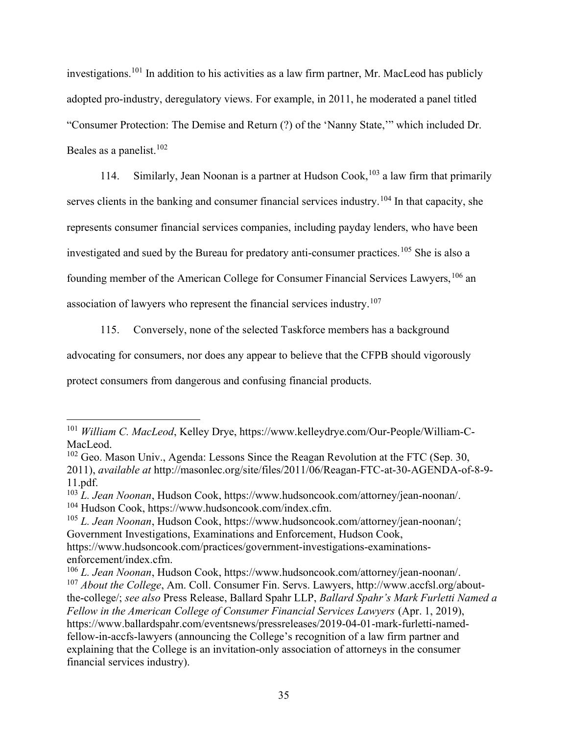investigations.<sup>101</sup> In addition to his activities as a law firm partner, Mr. MacLeod has publicly adopted pro-industry, deregulatory views. For example, in 2011, he moderated a panel titled "Consumer Protection: The Demise and Return (?) of the 'Nanny State,'" which included Dr. Beales as a panelist.  $102$ 

114. Similarly, Jean Noonan is a partner at Hudson Cook,  $103$  a law firm that primarily serves clients in the banking and consumer financial services industry.<sup>104</sup> In that capacity, she represents consumer financial services companies, including payday lenders, who have been investigated and sued by the Bureau for predatory anti-consumer practices.<sup>105</sup> She is also a founding member of the American College for Consumer Financial Services Lawyers, <sup>106</sup> an association of lawyers who represent the financial services industry.<sup>107</sup>

115. Conversely, none of the selected Taskforce members has a background

advocating for consumers, nor does any appear to believe that the CFPB should vigorously

protect consumers from dangerous and confusing financial products.

<sup>&</sup>lt;sup>101</sup> William C. MacLeod, Kelley Drye, https://www.kelleydrye.com/Our-People/William-C-MacLeod.

 $102$  Geo. Mason Univ., Agenda: Lessons Since the Reagan Revolution at the FTC (Sep. 30, 2011), available at http://masonlec.org/site/files/2011/06/Reagan-FTC-at-30-AGENDA-of-8-9- 11.pdf.

 $^{103}$  L. Jean Noonan, Hudson Cook, https://www.hudsoncook.com/attorney/jean-noonan/. <sup>104</sup> Hudson Cook, https://www.hudsoncook.com/index.cfm.

 $105$  L. Jean Noonan, Hudson Cook, https://www.hudsoncook.com/attorney/jean-noonan/; Government Investigations, Examinations and Enforcement, Hudson Cook, https://www.hudsoncook.com/practices/government-investigations-examinations-

enforcement/index.cfm.

 $106$  L. Jean Noonan, Hudson Cook, https://www.hudsoncook.com/attorney/jean-noonan/.  $107$  About the College, Am. Coll. Consumer Fin. Servs. Lawyers, http://www.accfsl.org/aboutthe-college/; see also Press Release, Ballard Spahr LLP, Ballard Spahr's Mark Furletti Named a Fellow in the American College of Consumer Financial Services Lawyers (Apr. 1, 2019), https://www.ballardspahr.com/eventsnews/pressreleases/2019-04-01-mark-furletti-namedfellow-in-accfs-lawyers (announcing the College's recognition of a law firm partner and explaining that the College is an invitation-only association of attorneys in the consumer financial services industry).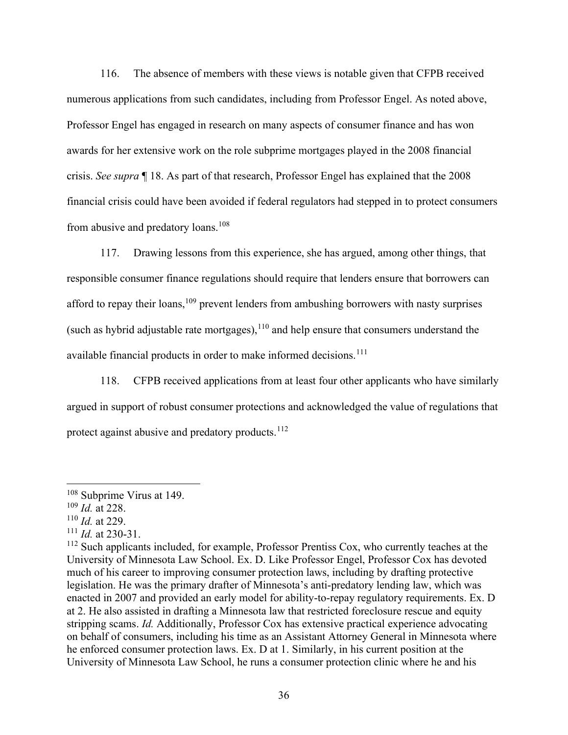116. The absence of members with these views is notable given that CFPB received numerous applications from such candidates, including from Professor Engel. As noted above, Professor Engel has engaged in research on many aspects of consumer finance and has won awards for her extensive work on the role subprime mortgages played in the 2008 financial crisis. See supra ¶ 18. As part of that research, Professor Engel has explained that the 2008 financial crisis could have been avoided if federal regulators had stepped in to protect consumers from abusive and predatory loans.<sup>108</sup>

117. Drawing lessons from this experience, she has argued, among other things, that responsible consumer finance regulations should require that lenders ensure that borrowers can afford to repay their loans, $109$  prevent lenders from ambushing borrowers with nasty surprises (such as hybrid adjustable rate mortgages), $^{110}$  and help ensure that consumers understand the available financial products in order to make informed decisions.<sup>111</sup>

118. CFPB received applications from at least four other applicants who have similarly argued in support of robust consumer protections and acknowledged the value of regulations that protect against abusive and predatory products.<sup>112</sup>

<sup>&</sup>lt;sup>108</sup> Subprime Virus at 149.

 $109$  *Id.* at 228.

 $110$  *Id.* at 229.

 $111$  *Id.* at 230-31.

<sup>&</sup>lt;sup>112</sup> Such applicants included, for example, Professor Prentiss Cox, who currently teaches at the University of Minnesota Law School. Ex. D. Like Professor Engel, Professor Cox has devoted much of his career to improving consumer protection laws, including by drafting protective legislation. He was the primary drafter of Minnesota's anti-predatory lending law, which was enacted in 2007 and provided an early model for ability-to-repay regulatory requirements. Ex. D at 2. He also assisted in drafting a Minnesota law that restricted foreclosure rescue and equity stripping scams. Id. Additionally, Professor Cox has extensive practical experience advocating on behalf of consumers, including his time as an Assistant Attorney General in Minnesota where he enforced consumer protection laws. Ex. D at 1. Similarly, in his current position at the University of Minnesota Law School, he runs a consumer protection clinic where he and his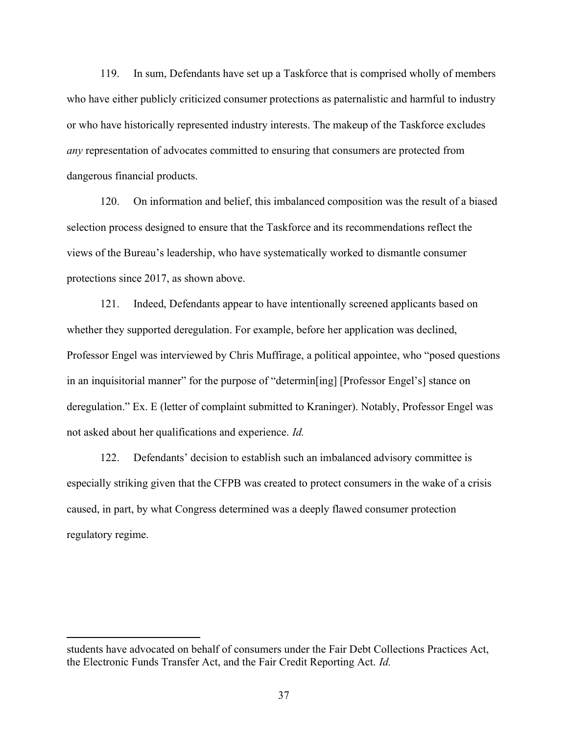119. In sum, Defendants have set up a Taskforce that is comprised wholly of members who have either publicly criticized consumer protections as paternalistic and harmful to industry or who have historically represented industry interests. The makeup of the Taskforce excludes any representation of advocates committed to ensuring that consumers are protected from dangerous financial products.

120. On information and belief, this imbalanced composition was the result of a biased selection process designed to ensure that the Taskforce and its recommendations reflect the views of the Bureau's leadership, who have systematically worked to dismantle consumer protections since 2017, as shown above.

121. Indeed, Defendants appear to have intentionally screened applicants based on whether they supported deregulation. For example, before her application was declined, Professor Engel was interviewed by Chris Muffirage, a political appointee, who "posed questions in an inquisitorial manner" for the purpose of "determin[ing] [Professor Engel's] stance on deregulation." Ex. E (letter of complaint submitted to Kraninger). Notably, Professor Engel was not asked about her qualifications and experience. Id.

122. Defendants' decision to establish such an imbalanced advisory committee is especially striking given that the CFPB was created to protect consumers in the wake of a crisis caused, in part, by what Congress determined was a deeply flawed consumer protection regulatory regime.

students have advocated on behalf of consumers under the Fair Debt Collections Practices Act, the Electronic Funds Transfer Act, and the Fair Credit Reporting Act. Id.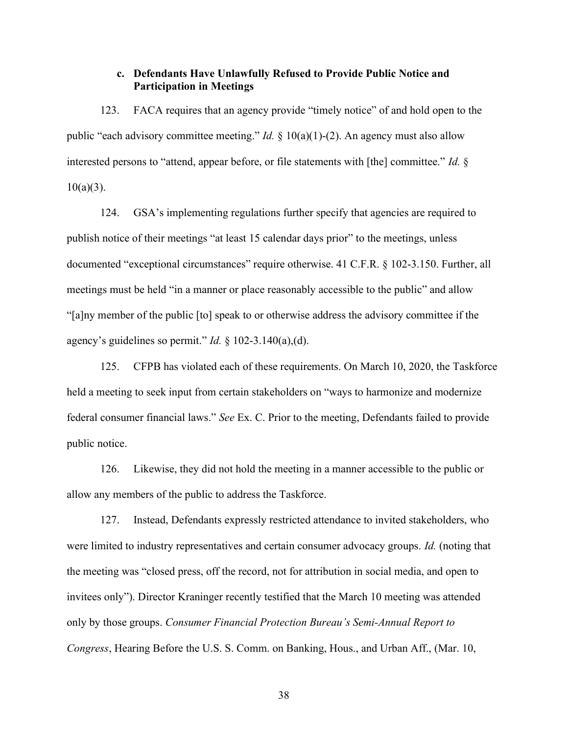## c. Defendants Have Unlawfully Refused to Provide Public Notice and Participation in Meetings

123. FACA requires that an agency provide "timely notice" of and hold open to the public "each advisory committee meeting." *Id.* § 10(a)(1)-(2). An agency must also allow interested persons to "attend, appear before, or file statements with [the] committee." *Id.* §  $10(a)(3)$ .

124. GSA's implementing regulations further specify that agencies are required to publish notice of their meetings "at least 15 calendar days prior" to the meetings, unless documented "exceptional circumstances" require otherwise. 41 C.F.R. § 102-3.150. Further, all meetings must be held "in a manner or place reasonably accessible to the public" and allow "[a]ny member of the public [to] speak to or otherwise address the advisory committee if the agency's guidelines so permit." *Id.*  $\S$  102-3.140(a), (d).

125. CFPB has violated each of these requirements. On March 10, 2020, the Taskforce held a meeting to seek input from certain stakeholders on "ways to harmonize and modernize federal consumer financial laws." See Ex. C. Prior to the meeting, Defendants failed to provide public notice.

126. Likewise, they did not hold the meeting in a manner accessible to the public or allow any members of the public to address the Taskforce.

127. Instead, Defendants expressly restricted attendance to invited stakeholders, who were limited to industry representatives and certain consumer advocacy groups. *Id.* (noting that the meeting was "closed press, off the record, not for attribution in social media, and open to invitees only"). Director Kraninger recently testified that the March 10 meeting was attended only by those groups. Consumer Financial Protection Bureau's Semi-Annual Report to Congress, Hearing Before the U.S. S. Comm. on Banking, Hous., and Urban Aff., (Mar. 10,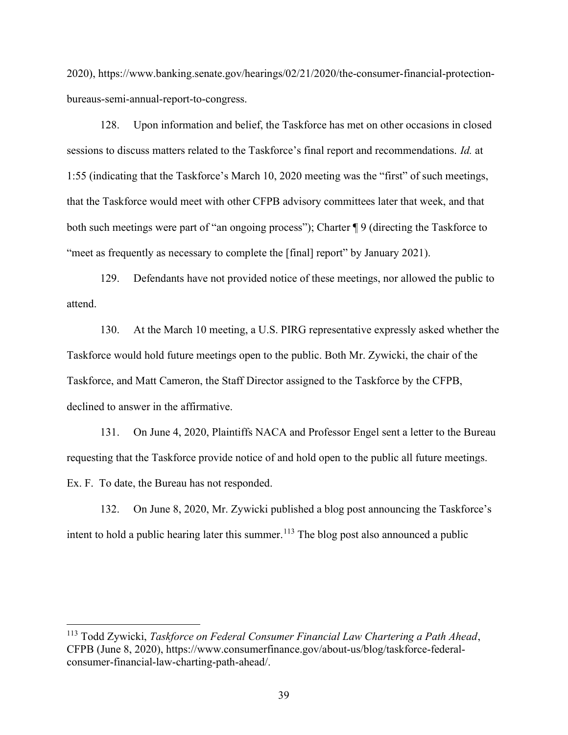2020), https://www.banking.senate.gov/hearings/02/21/2020/the-consumer-financial-protectionbureaus-semi-annual-report-to-congress.

128. Upon information and belief, the Taskforce has met on other occasions in closed sessions to discuss matters related to the Taskforce's final report and recommendations. Id. at 1:55 (indicating that the Taskforce's March 10, 2020 meeting was the "first" of such meetings, that the Taskforce would meet with other CFPB advisory committees later that week, and that both such meetings were part of "an ongoing process"); Charter  $\P$  9 (directing the Taskforce to "meet as frequently as necessary to complete the [final] report" by January 2021).

129. Defendants have not provided notice of these meetings, nor allowed the public to attend.

130. At the March 10 meeting, a U.S. PIRG representative expressly asked whether the Taskforce would hold future meetings open to the public. Both Mr. Zywicki, the chair of the Taskforce, and Matt Cameron, the Staff Director assigned to the Taskforce by the CFPB, declined to answer in the affirmative.

131. On June 4, 2020, Plaintiffs NACA and Professor Engel sent a letter to the Bureau requesting that the Taskforce provide notice of and hold open to the public all future meetings. Ex. F. To date, the Bureau has not responded.

132. On June 8, 2020, Mr. Zywicki published a blog post announcing the Taskforce's intent to hold a public hearing later this summer.<sup>113</sup> The blog post also announced a public

 $113$  Todd Zywicki, Taskforce on Federal Consumer Financial Law Chartering a Path Ahead, CFPB (June 8, 2020), https://www.consumerfinance.gov/about-us/blog/taskforce-federalconsumer-financial-law-charting-path-ahead/.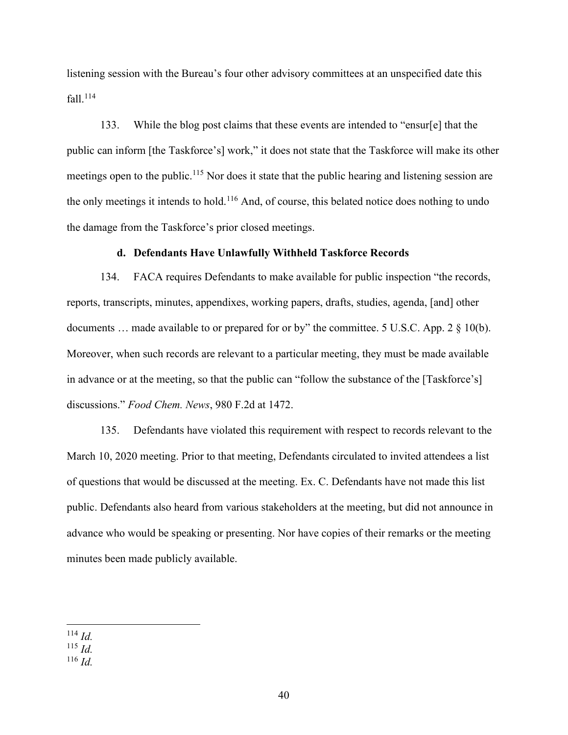listening session with the Bureau's four other advisory committees at an unspecified date this fall. $^{114}$ 

133. While the blog post claims that these events are intended to "ensur[e] that the public can inform [the Taskforce's] work," it does not state that the Taskforce will make its other meetings open to the public.<sup>115</sup> Nor does it state that the public hearing and listening session are the only meetings it intends to hold.<sup>116</sup> And, of course, this belated notice does nothing to undo the damage from the Taskforce's prior closed meetings.

## d. Defendants Have Unlawfully Withheld Taskforce Records

134. FACA requires Defendants to make available for public inspection "the records, reports, transcripts, minutes, appendixes, working papers, drafts, studies, agenda, [and] other documents ... made available to or prepared for or by" the committee. 5 U.S.C. App. 2 § 10(b). Moreover, when such records are relevant to a particular meeting, they must be made available in advance or at the meeting, so that the public can "follow the substance of the [Taskforce's] discussions." Food Chem. News, 980 F.2d at 1472.

135. Defendants have violated this requirement with respect to records relevant to the March 10, 2020 meeting. Prior to that meeting, Defendants circulated to invited attendees a list of questions that would be discussed at the meeting. Ex. C. Defendants have not made this list public. Defendants also heard from various stakeholders at the meeting, but did not announce in advance who would be speaking or presenting. Nor have copies of their remarks or the meeting minutes been made publicly available.

 $116$  *Id.* 

 $114$  *Id.* 

 $^{115}$  *Id.*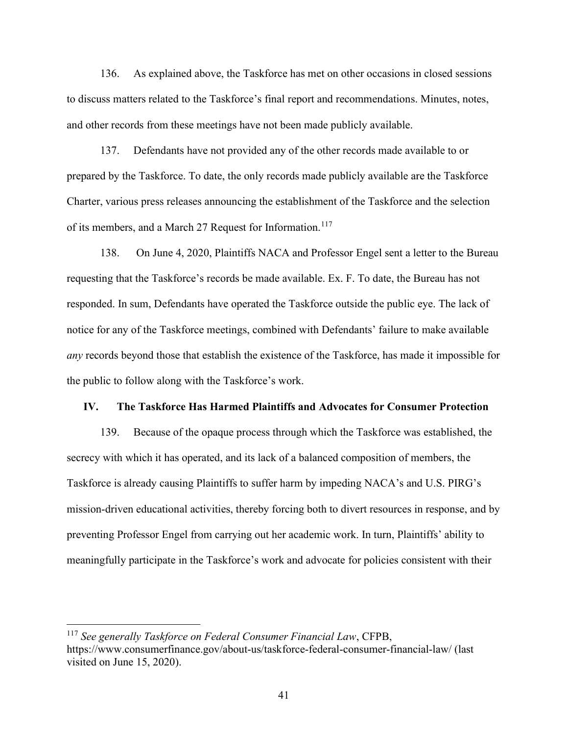136. As explained above, the Taskforce has met on other occasions in closed sessions to discuss matters related to the Taskforce's final report and recommendations. Minutes, notes, and other records from these meetings have not been made publicly available.

137. Defendants have not provided any of the other records made available to or prepared by the Taskforce. To date, the only records made publicly available are the Taskforce Charter, various press releases announcing the establishment of the Taskforce and the selection of its members, and a March 27 Request for Information.<sup>117</sup>

138. On June 4, 2020, Plaintiffs NACA and Professor Engel sent a letter to the Bureau requesting that the Taskforce's records be made available. Ex. F. To date, the Bureau has not responded. In sum, Defendants have operated the Taskforce outside the public eye. The lack of notice for any of the Taskforce meetings, combined with Defendants' failure to make available any records beyond those that establish the existence of the Taskforce, has made it impossible for the public to follow along with the Taskforce's work.

#### IV. The Taskforce Has Harmed Plaintiffs and Advocates for Consumer Protection

139. Because of the opaque process through which the Taskforce was established, the secrecy with which it has operated, and its lack of a balanced composition of members, the Taskforce is already causing Plaintiffs to suffer harm by impeding NACA's and U.S. PIRG's mission-driven educational activities, thereby forcing both to divert resources in response, and by preventing Professor Engel from carrying out her academic work. In turn, Plaintiffs' ability to meaningfully participate in the Taskforce's work and advocate for policies consistent with their

 $117$  See generally Taskforce on Federal Consumer Financial Law, CFPB, https://www.consumerfinance.gov/about-us/taskforce-federal-consumer-financial-law/ (last visited on June 15, 2020).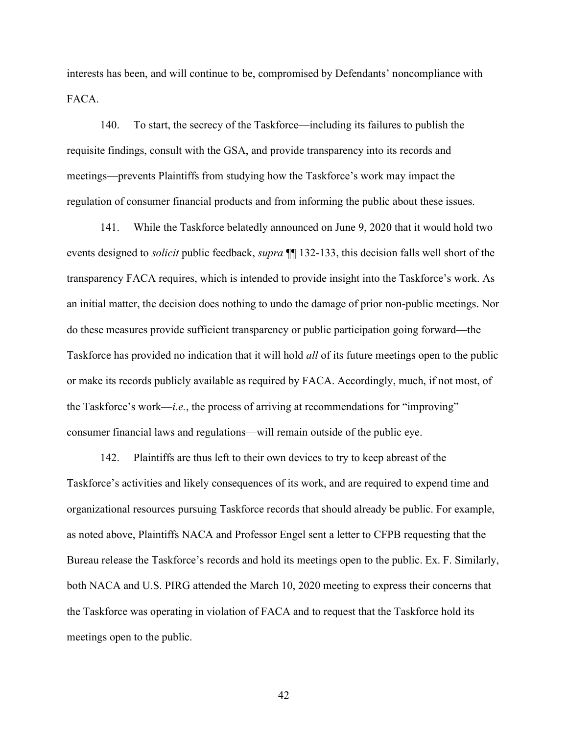interests has been, and will continue to be, compromised by Defendants' noncompliance with FACA.

140. To start, the secrecy of the Taskforce—including its failures to publish the requisite findings, consult with the GSA, and provide transparency into its records and meetings—prevents Plaintiffs from studying how the Taskforce's work may impact the regulation of consumer financial products and from informing the public about these issues.

141. While the Taskforce belatedly announced on June 9, 2020 that it would hold two events designed to *solicit* public feedback, *supra*  $\P$  132-133, this decision falls well short of the transparency FACA requires, which is intended to provide insight into the Taskforce's work. As an initial matter, the decision does nothing to undo the damage of prior non-public meetings. Nor do these measures provide sufficient transparency or public participation going forward—the Taskforce has provided no indication that it will hold *all* of its future meetings open to the public or make its records publicly available as required by FACA. Accordingly, much, if not most, of the Taskforce's work—*i.e.*, the process of arriving at recommendations for "improving" consumer financial laws and regulations—will remain outside of the public eye.

142. Plaintiffs are thus left to their own devices to try to keep abreast of the Taskforce's activities and likely consequences of its work, and are required to expend time and organizational resources pursuing Taskforce records that should already be public. For example, as noted above, Plaintiffs NACA and Professor Engel sent a letter to CFPB requesting that the Bureau release the Taskforce's records and hold its meetings open to the public. Ex. F. Similarly, both NACA and U.S. PIRG attended the March 10, 2020 meeting to express their concerns that the Taskforce was operating in violation of FACA and to request that the Taskforce hold its meetings open to the public.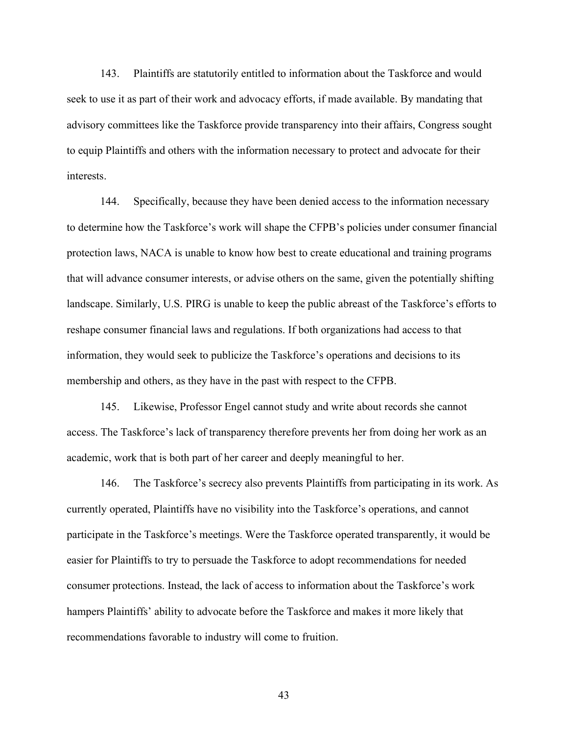143. Plaintiffs are statutorily entitled to information about the Taskforce and would seek to use it as part of their work and advocacy efforts, if made available. By mandating that advisory committees like the Taskforce provide transparency into their affairs, Congress sought to equip Plaintiffs and others with the information necessary to protect and advocate for their interests.

144. Specifically, because they have been denied access to the information necessary to determine how the Taskforce's work will shape the CFPB's policies under consumer financial protection laws, NACA is unable to know how best to create educational and training programs that will advance consumer interests, or advise others on the same, given the potentially shifting landscape. Similarly, U.S. PIRG is unable to keep the public abreast of the Taskforce's efforts to reshape consumer financial laws and regulations. If both organizations had access to that information, they would seek to publicize the Taskforce's operations and decisions to its membership and others, as they have in the past with respect to the CFPB.

145. Likewise, Professor Engel cannot study and write about records she cannot access. The Taskforce's lack of transparency therefore prevents her from doing her work as an academic, work that is both part of her career and deeply meaningful to her.

146. The Taskforce's secrecy also prevents Plaintiffs from participating in its work. As currently operated, Plaintiffs have no visibility into the Taskforce's operations, and cannot participate in the Taskforce's meetings. Were the Taskforce operated transparently, it would be easier for Plaintiffs to try to persuade the Taskforce to adopt recommendations for needed consumer protections. Instead, the lack of access to information about the Taskforce's work hampers Plaintiffs' ability to advocate before the Taskforce and makes it more likely that recommendations favorable to industry will come to fruition.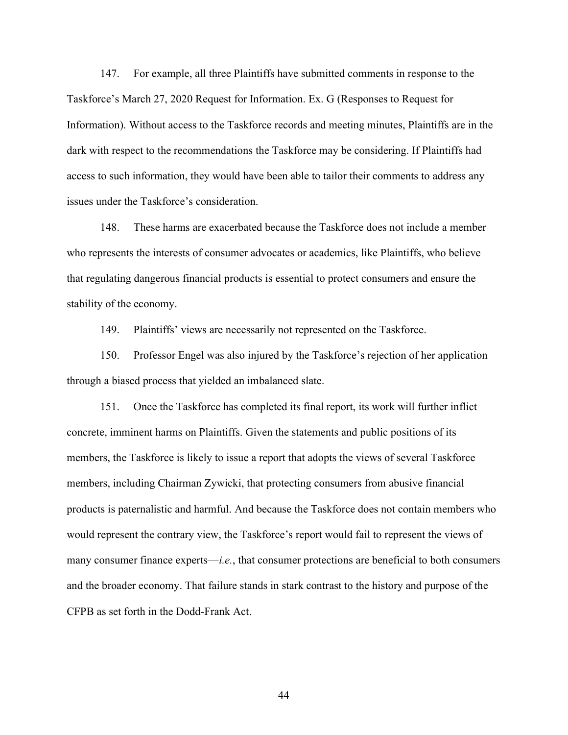147. For example, all three Plaintiffs have submitted comments in response to the Taskforce's March 27, 2020 Request for Information. Ex. G (Responses to Request for Information). Without access to the Taskforce records and meeting minutes, Plaintiffs are in the dark with respect to the recommendations the Taskforce may be considering. If Plaintiffs had access to such information, they would have been able to tailor their comments to address any issues under the Taskforce's consideration.

148. These harms are exacerbated because the Taskforce does not include a member who represents the interests of consumer advocates or academics, like Plaintiffs, who believe that regulating dangerous financial products is essential to protect consumers and ensure the stability of the economy.

149. Plaintiffs' views are necessarily not represented on the Taskforce.

150. Professor Engel was also injured by the Taskforce's rejection of her application through a biased process that yielded an imbalanced slate.

151. Once the Taskforce has completed its final report, its work will further inflict concrete, imminent harms on Plaintiffs. Given the statements and public positions of its members, the Taskforce is likely to issue a report that adopts the views of several Taskforce members, including Chairman Zywicki, that protecting consumers from abusive financial products is paternalistic and harmful. And because the Taskforce does not contain members who would represent the contrary view, the Taskforce's report would fail to represent the views of many consumer finance experts—*i.e.*, that consumer protections are beneficial to both consumers and the broader economy. That failure stands in stark contrast to the history and purpose of the CFPB as set forth in the Dodd-Frank Act.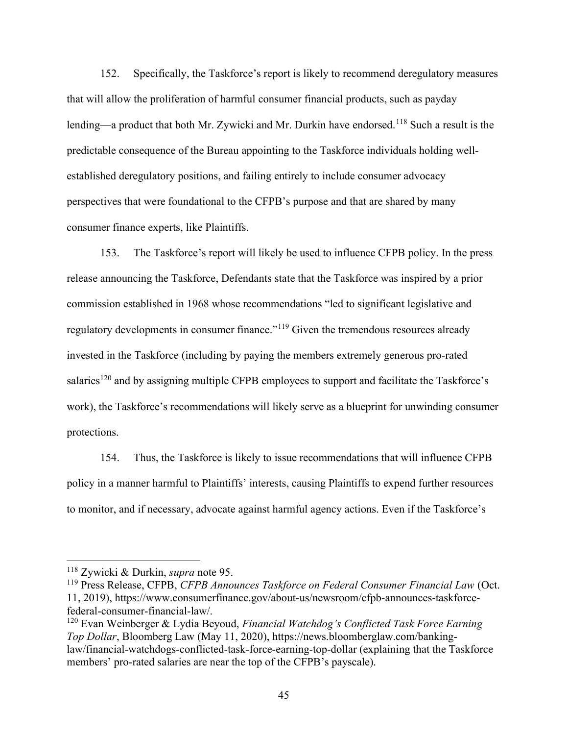152. Specifically, the Taskforce's report is likely to recommend deregulatory measures that will allow the proliferation of harmful consumer financial products, such as payday lending—a product that both Mr. Zywicki and Mr. Durkin have endorsed.<sup>118</sup> Such a result is the predictable consequence of the Bureau appointing to the Taskforce individuals holding wellestablished deregulatory positions, and failing entirely to include consumer advocacy perspectives that were foundational to the CFPB's purpose and that are shared by many consumer finance experts, like Plaintiffs.

153. The Taskforce's report will likely be used to influence CFPB policy. In the press release announcing the Taskforce, Defendants state that the Taskforce was inspired by a prior commission established in 1968 whose recommendations "led to significant legislative and regulatory developments in consumer finance."<sup>119</sup> Given the tremendous resources already invested in the Taskforce (including by paying the members extremely generous pro-rated salaries<sup>120</sup> and by assigning multiple CFPB employees to support and facilitate the Taskforce's work), the Taskforce's recommendations will likely serve as a blueprint for unwinding consumer protections.

154. Thus, the Taskforce is likely to issue recommendations that will influence CFPB policy in a manner harmful to Plaintiffs' interests, causing Plaintiffs to expend further resources to monitor, and if necessary, advocate against harmful agency actions. Even if the Taskforce's

<sup>118</sup> Zywicki & Durkin, supra note 95.

<sup>&</sup>lt;sup>119</sup> Press Release, CFPB, CFPB Announces Taskforce on Federal Consumer Financial Law (Oct. 11, 2019), https://www.consumerfinance.gov/about-us/newsroom/cfpb-announces-taskforcefederal-consumer-financial-law/.

 $120$  Evan Weinberger & Lydia Beyoud, *Financial Watchdog's Conflicted Task Force Earning* Top Dollar, Bloomberg Law (May 11, 2020), https://news.bloomberglaw.com/bankinglaw/financial-watchdogs-conflicted-task-force-earning-top-dollar (explaining that the Taskforce members' pro-rated salaries are near the top of the CFPB's payscale).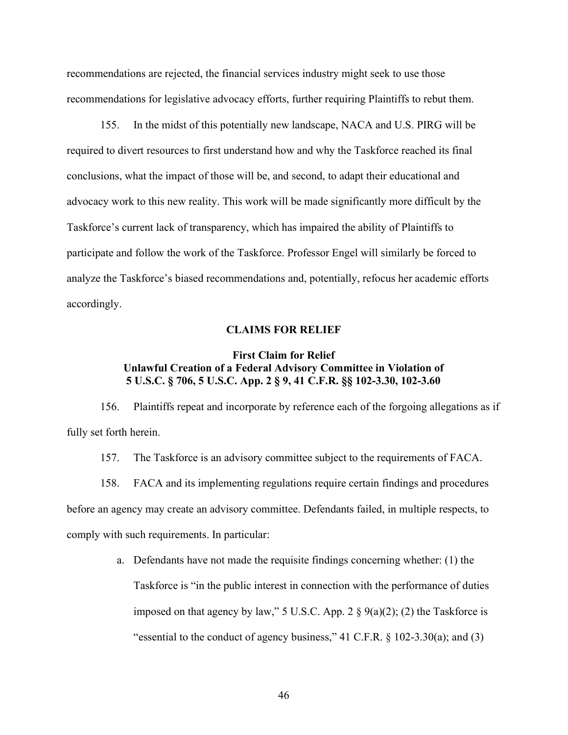recommendations are rejected, the financial services industry might seek to use those recommendations for legislative advocacy efforts, further requiring Plaintiffs to rebut them.

155. In the midst of this potentially new landscape, NACA and U.S. PIRG will be required to divert resources to first understand how and why the Taskforce reached its final conclusions, what the impact of those will be, and second, to adapt their educational and advocacy work to this new reality. This work will be made significantly more difficult by the Taskforce's current lack of transparency, which has impaired the ability of Plaintiffs to participate and follow the work of the Taskforce. Professor Engel will similarly be forced to analyze the Taskforce's biased recommendations and, potentially, refocus her academic efforts accordingly.

#### CLAIMS FOR RELIEF

# First Claim for Relief Unlawful Creation of a Federal Advisory Committee in Violation of 5 U.S.C. § 706, 5 U.S.C. App. 2 § 9, 41 C.F.R. §§ 102-3.30, 102-3.60

156. Plaintiffs repeat and incorporate by reference each of the forgoing allegations as if fully set forth herein.

157. The Taskforce is an advisory committee subject to the requirements of FACA.

158. FACA and its implementing regulations require certain findings and procedures before an agency may create an advisory committee. Defendants failed, in multiple respects, to comply with such requirements. In particular:

> a. Defendants have not made the requisite findings concerning whether: (1) the Taskforce is "in the public interest in connection with the performance of duties imposed on that agency by law," 5 U.S.C. App. 2  $\S$  9(a)(2); (2) the Taskforce is "essential to the conduct of agency business," 41 C.F.R. § 102-3.30(a); and (3)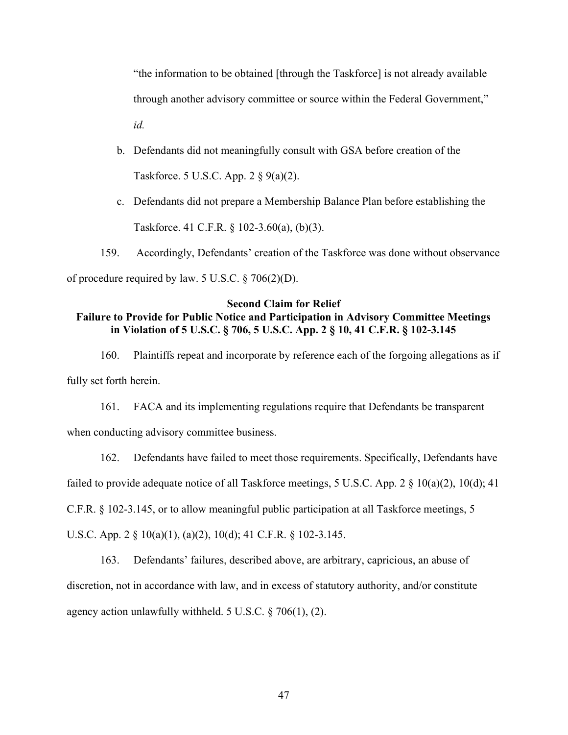"the information to be obtained [through the Taskforce] is not already available through another advisory committee or source within the Federal Government," id.

- b. Defendants did not meaningfully consult with GSA before creation of the Taskforce. 5 U.S.C. App. 2 § 9(a)(2).
- c. Defendants did not prepare a Membership Balance Plan before establishing the Taskforce. 41 C.F.R. § 102-3.60(a), (b)(3).

159. Accordingly, Defendants' creation of the Taskforce was done without observance of procedure required by law. 5 U.S.C. § 706(2)(D).

# Second Claim for Relief Failure to Provide for Public Notice and Participation in Advisory Committee Meetings in Violation of 5 U.S.C. § 706, 5 U.S.C. App. 2 § 10, 41 C.F.R. § 102-3.145

160. Plaintiffs repeat and incorporate by reference each of the forgoing allegations as if fully set forth herein.

161. FACA and its implementing regulations require that Defendants be transparent when conducting advisory committee business.

162. Defendants have failed to meet those requirements. Specifically, Defendants have failed to provide adequate notice of all Taskforce meetings, 5 U.S.C. App. 2 § 10(a)(2), 10(d); 41 C.F.R. § 102-3.145, or to allow meaningful public participation at all Taskforce meetings, 5

U.S.C. App. 2 § 10(a)(1), (a)(2), 10(d); 41 C.F.R. § 102-3.145.

163. Defendants' failures, described above, are arbitrary, capricious, an abuse of discretion, not in accordance with law, and in excess of statutory authority, and/or constitute agency action unlawfully withheld. 5 U.S.C. § 706(1), (2).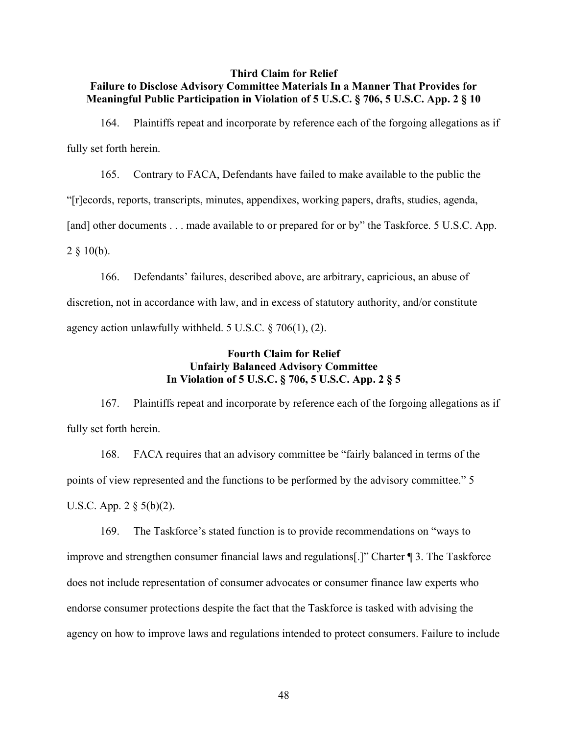# Third Claim for Relief Failure to Disclose Advisory Committee Materials In a Manner That Provides for Meaningful Public Participation in Violation of 5 U.S.C. § 706, 5 U.S.C. App. 2 § 10

164. Plaintiffs repeat and incorporate by reference each of the forgoing allegations as if fully set forth herein.

165. Contrary to FACA, Defendants have failed to make available to the public the

"[r]ecords, reports, transcripts, minutes, appendixes, working papers, drafts, studies, agenda,

[and] other documents . . . made available to or prepared for or by" the Taskforce. 5 U.S.C. App.

 $2 \S 10(b)$ .

166. Defendants' failures, described above, are arbitrary, capricious, an abuse of discretion, not in accordance with law, and in excess of statutory authority, and/or constitute agency action unlawfully withheld. 5 U.S.C. § 706(1), (2).

# Fourth Claim for Relief Unfairly Balanced Advisory Committee In Violation of 5 U.S.C. § 706, 5 U.S.C. App. 2 § 5

167. Plaintiffs repeat and incorporate by reference each of the forgoing allegations as if fully set forth herein.

168. FACA requires that an advisory committee be "fairly balanced in terms of the points of view represented and the functions to be performed by the advisory committee." 5 U.S.C. App. 2 § 5(b)(2).

169. The Taskforce's stated function is to provide recommendations on "ways to improve and strengthen consumer financial laws and regulations[.]" Charter ¶ 3. The Taskforce does not include representation of consumer advocates or consumer finance law experts who endorse consumer protections despite the fact that the Taskforce is tasked with advising the agency on how to improve laws and regulations intended to protect consumers. Failure to include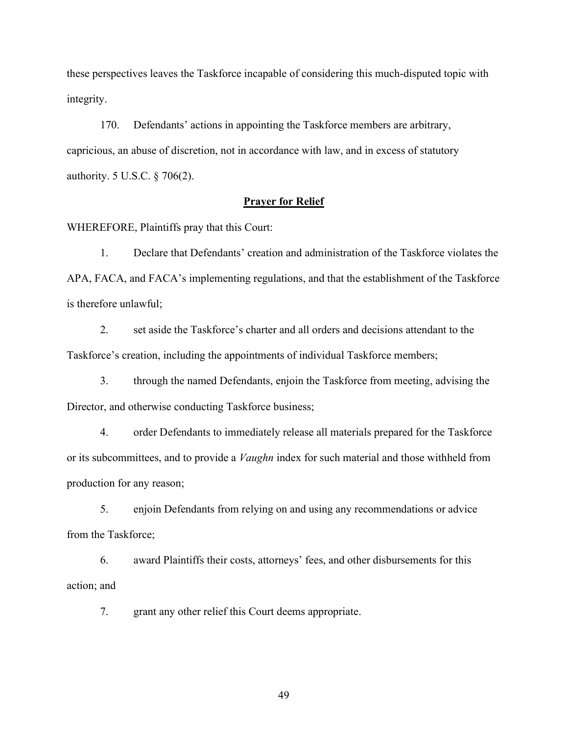these perspectives leaves the Taskforce incapable of considering this much-disputed topic with integrity.

170. Defendants' actions in appointing the Taskforce members are arbitrary, capricious, an abuse of discretion, not in accordance with law, and in excess of statutory authority. 5 U.S.C. § 706(2).

# Prayer for Relief

WHEREFORE, Plaintiffs pray that this Court:

1. Declare that Defendants' creation and administration of the Taskforce violates the APA, FACA, and FACA's implementing regulations, and that the establishment of the Taskforce is therefore unlawful;

2. set aside the Taskforce's charter and all orders and decisions attendant to the Taskforce's creation, including the appointments of individual Taskforce members;

3. through the named Defendants, enjoin the Taskforce from meeting, advising the Director, and otherwise conducting Taskforce business;

4. order Defendants to immediately release all materials prepared for the Taskforce or its subcommittees, and to provide a *Vaughn* index for such material and those withheld from production for any reason;

5. enjoin Defendants from relying on and using any recommendations or advice from the Taskforce;

6. award Plaintiffs their costs, attorneys' fees, and other disbursements for this action; and

7. grant any other relief this Court deems appropriate.